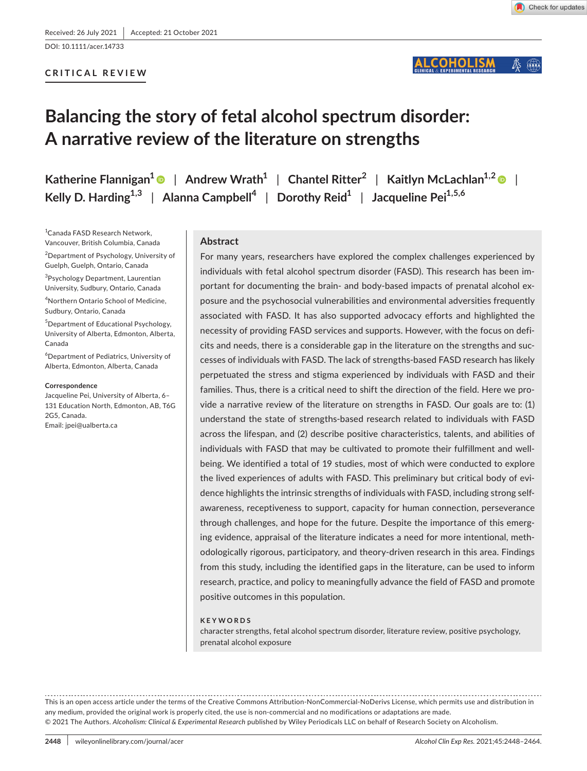DOI: 10.1111/acer.14733

## **CRITICAL REVIEW**

#### COHOLISM  $\mathbb{Z}$

# **Balancing the story of fetal alcohol spectrum disorder: A narrative review of the literature on strengths**

**Katherine Flannigan**<sup>1</sup> | Andrew Wrath<sup>1</sup> | Chantel Ritter<sup>2</sup> | Kaitlyn McLachlan<sup>1,2</sup> | *Regiemeral* **Kelly D. Harding**<sup>1,3</sup> | Alanna Campbell<sup>4</sup> | Dorothy Reid<sup>1</sup> | Jacqueline Pei<sup>1,5,6</sup>

1 Canada FASD Research Network, Vancouver, British Columbia, Canada 2 Department of Psychology, University of Guelph, Guelph, Ontario, Canada

<sup>3</sup>Psychology Department, Laurentian University, Sudbury, Ontario, Canada 4 Northern Ontario School of Medicine,

Sudbury, Ontario, Canada

5 Department of Educational Psychology, University of Alberta, Edmonton, Alberta, Canada

6 Department of Pediatrics, University of Alberta, Edmonton, Alberta, Canada

#### **Correspondence**

Jacqueline Pei, University of Alberta, 6– 131 Education North, Edmonton, AB, T6G 2G5, Canada. Email: [jpei@ualberta.ca](mailto:jpei@ualberta.ca)

### **Abstract**

For many years, researchers have explored the complex challenges experienced by individuals with fetal alcohol spectrum disorder (FASD). This research has been important for documenting the brain- and body-based impacts of prenatal alcohol exposure and the psychosocial vulnerabilities and environmental adversities frequently associated with FASD. It has also supported advocacy efforts and highlighted the necessity of providing FASD services and supports. However, with the focus on deficits and needs, there is a considerable gap in the literature on the strengths and successes of individuals with FASD. The lack of strengths-based FASD research has likely perpetuated the stress and stigma experienced by individuals with FASD and their families. Thus, there is a critical need to shift the direction of the field. Here we provide a narrative review of the literature on strengths in FASD. Our goals are to: (1) understand the state of strengths-based research related to individuals with FASD across the lifespan, and (2) describe positive characteristics, talents, and abilities of individuals with FASD that may be cultivated to promote their fulfillment and wellbeing. We identified a total of 19 studies, most of which were conducted to explore the lived experiences of adults with FASD. This preliminary but critical body of evidence highlights the intrinsic strengths of individuals with FASD, including strong selfawareness, receptiveness to support, capacity for human connection, perseverance through challenges, and hope for the future. Despite the importance of this emerging evidence, appraisal of the literature indicates a need for more intentional, methodologically rigorous, participatory, and theory-driven research in this area. Findings from this study, including the identified gaps in the literature, can be used to inform research, practice, and policy to meaningfully advance the field of FASD and promote positive outcomes in this population.

#### **KEYWORDS**

character strengths, fetal alcohol spectrum disorder, literature review, positive psychology, prenatal alcohol exposure

This is an open access article under the terms of the [Creative Commons Attribution-NonCommercial-NoDerivs](http://creativecommons.org/licenses/by-nc-nd/4.0/) License, which permits use and distribution in any medium, provided the original work is properly cited, the use is non-commercial and no modifications or adaptations are made. © 2021 The Authors. *Alcoholism: Clinical & Experimental Research* published by Wiley Periodicals LLC on behalf of Research Society on Alcoholism.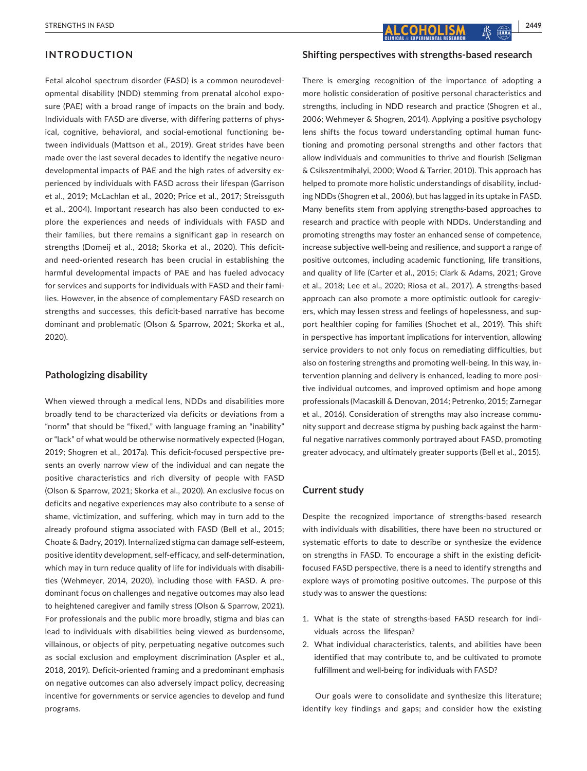## **INTRODUCTION**

Fetal alcohol spectrum disorder (FASD) is a common neurodevelopmental disability (NDD) stemming from prenatal alcohol exposure (PAE) with a broad range of impacts on the brain and body. Individuals with FASD are diverse, with differing patterns of physical, cognitive, behavioral, and social-emotional functioning between individuals (Mattson et al., 2019). Great strides have been made over the last several decades to identify the negative neurodevelopmental impacts of PAE and the high rates of adversity experienced by individuals with FASD across their lifespan (Garrison et al., 2019; McLachlan et al., 2020; Price et al., 2017; Streissguth et al., 2004). Important research has also been conducted to explore the experiences and needs of individuals with FASD and their families, but there remains a significant gap in research on strengths (Domeij et al., 2018; Skorka et al., 2020). This deficitand need-oriented research has been crucial in establishing the harmful developmental impacts of PAE and has fueled advocacy for services and supports for individuals with FASD and their families. However, in the absence of complementary FASD research on strengths and successes, this deficit-based narrative has become dominant and problematic (Olson & Sparrow, 2021; Skorka et al., 2020).

## **Pathologizing disability**

When viewed through a medical lens, NDDs and disabilities more broadly tend to be characterized via deficits or deviations from a "norm" that should be "fixed," with language framing an "inability" or "lack" of what would be otherwise normatively expected (Hogan, 2019; Shogren et al., 2017a). This deficit-focused perspective presents an overly narrow view of the individual and can negate the positive characteristics and rich diversity of people with FASD (Olson & Sparrow, 2021; Skorka et al., 2020). An exclusive focus on deficits and negative experiences may also contribute to a sense of shame, victimization, and suffering, which may in turn add to the already profound stigma associated with FASD (Bell et al., 2015; Choate & Badry, 2019). Internalized stigma can damage self-esteem, positive identity development, self-efficacy, and self-determination, which may in turn reduce quality of life for individuals with disabilities (Wehmeyer, 2014, 2020), including those with FASD. A predominant focus on challenges and negative outcomes may also lead to heightened caregiver and family stress (Olson & Sparrow, 2021). For professionals and the public more broadly, stigma and bias can lead to individuals with disabilities being viewed as burdensome, villainous, or objects of pity, perpetuating negative outcomes such as social exclusion and employment discrimination (Aspler et al., 2018, 2019). Deficit-oriented framing and a predominant emphasis on negative outcomes can also adversely impact policy, decreasing incentive for governments or service agencies to develop and fund programs.

**Shifting perspectives with strengths-based research**

There is emerging recognition of the importance of adopting a more holistic consideration of positive personal characteristics and strengths, including in NDD research and practice (Shogren et al., 2006; Wehmeyer & Shogren, 2014). Applying a positive psychology lens shifts the focus toward understanding optimal human functioning and promoting personal strengths and other factors that allow individuals and communities to thrive and flourish (Seligman & Csikszentmihalyi, 2000; Wood & Tarrier, 2010). This approach has helped to promote more holistic understandings of disability, including NDDs (Shogren et al., 2006), but has lagged in its uptake in FASD. Many benefits stem from applying strengths-based approaches to research and practice with people with NDDs. Understanding and promoting strengths may foster an enhanced sense of competence, increase subjective well-being and resilience, and support a range of positive outcomes, including academic functioning, life transitions, and quality of life (Carter et al., 2015; Clark & Adams, 2021; Grove et al., 2018; Lee et al., 2020; Riosa et al., 2017). A strengths-based approach can also promote a more optimistic outlook for caregivers, which may lessen stress and feelings of hopelessness, and support healthier coping for families (Shochet et al., 2019). This shift in perspective has important implications for intervention, allowing service providers to not only focus on remediating difficulties, but also on fostering strengths and promoting well-being. In this way, intervention planning and delivery is enhanced, leading to more positive individual outcomes, and improved optimism and hope among professionals (Macaskill & Denovan, 2014; Petrenko, 2015; Zarnegar et al., 2016). Consideration of strengths may also increase community support and decrease stigma by pushing back against the harmful negative narratives commonly portrayed about FASD, promoting greater advocacy, and ultimately greater supports (Bell et al., 2015).

#### **Current study**

Despite the recognized importance of strengths-based research with individuals with disabilities, there have been no structured or systematic efforts to date to describe or synthesize the evidence on strengths in FASD. To encourage a shift in the existing deficitfocused FASD perspective, there is a need to identify strengths and explore ways of promoting positive outcomes. The purpose of this study was to answer the questions:

- 1. What is the state of strengths-based FASD research for individuals across the lifespan?
- 2. What individual characteristics, talents, and abilities have been identified that may contribute to, and be cultivated to promote fulfillment and well-being for individuals with FASD?

Our goals were to consolidate and synthesize this literature; identify key findings and gaps; and consider how the existing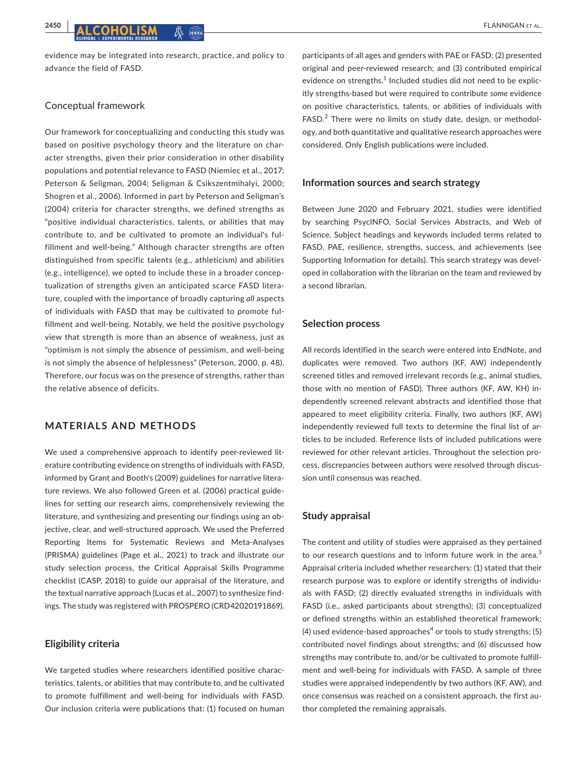evidence may be integrated into research, practice, and policy to advance the field of FASD.

## Conceptual framework

Our framework for conceptualizing and conducting this study was based on positive psychology theory and the literature on character strengths, given their prior consideration in other disability populations and potential relevance to FASD (Niemiec et al., 2017; Peterson & Seligman, 2004; Seligman & Csikszentmihalyi, 2000; Shogren et al., 2006). Informed in part by Peterson and Seligman's (2004) criteria for character strengths, we defined strengths as "positive individual characteristics, talents, or abilities that may contribute to, and be cultivated to promote an individual's fulfillment and well-being." Although character strengths are often distinguished from specific talents (e.g., athleticism) and abilities (e.g., intelligence), we opted to include these in a broader conceptualization of strengths given an anticipated scarce FASD literature, coupled with the importance of broadly capturing *all* aspects of individuals with FASD that may be cultivated to promote fulfillment and well-being. Notably, we held the positive psychology view that strength is more than an absence of weakness, just as "optimism is not simply the absence of pessimism, and well-being is not simply the absence of helplessness" (Peterson, 2000, p. 48). Therefore, our focus was on the presence of strengths, rather than the relative absence of deficits.

## **MATERIALS AND METHODS**

We used a comprehensive approach to identify peer-reviewed literature contributing evidence on strengths of individuals with FASD, informed by Grant and Booth's (2009) guidelines for narrative literature reviews. We also followed Green et al. (2006) practical guidelines for setting our research aims, comprehensively reviewing the literature, and synthesizing and presenting our findings using an objective, clear, and well-structured approach. We used the Preferred Reporting Items for Systematic Reviews and Meta-Analyses (PRISMA) guidelines (Page et al., 2021) to track and illustrate our study selection process, the Critical Appraisal Skills Programme checklist (CASP, 2018) to guide our appraisal of the literature, and the textual narrative approach (Lucas et al., 2007) to synthesize findings. The study was registered with PROSPERO (CRD42020191869).

## **Eligibility criteria**

We targeted studies where researchers identified positive characteristics, talents, or abilities that may contribute to, and be cultivated to promote fulfillment and well-being for individuals with FASD. Our inclusion criteria were publications that: (1) focused on human

participants of all ages and genders with PAE or FASD; (2) presented original and peer-reviewed research; and (3) contributed empirical evidence on strengths.<sup>1</sup> Included studies did not need to be explicitly strengths-based but were required to contribute *some* evidence on positive characteristics, talents, or abilities of individuals with FASD.<sup>2</sup> There were no limits on study date, design, or methodology, and both quantitative and qualitative research approaches were considered. Only English publications were included.

#### **Information sources and search strategy**

Between June 2020 and February 2021, studies were identified by searching PsycINFO, Social Services Abstracts, and Web of Science. Subject headings and keywords included terms related to FASD, PAE, resilience, strengths, success, and achievements (see Supporting Information for details). This search strategy was developed in collaboration with the librarian on the team and reviewed by a second librarian.

#### **Selection process**

All records identified in the search were entered into EndNote, and duplicates were removed. Two authors (KF, AW) independently screened titles and removed irrelevant records (e.g., animal studies, those with no mention of FASD). Three authors (KF, AW, KH) independently screened relevant abstracts and identified those that appeared to meet eligibility criteria. Finally, two authors (KF, AW) independently reviewed full texts to determine the final list of articles to be included. Reference lists of included publications were reviewed for other relevant articles. Throughout the selection process, discrepancies between authors were resolved through discussion until consensus was reached.

#### **Study appraisal**

The content and utility of studies were appraised as they pertained to our research questions and to inform future work in the area. $3$ Appraisal criteria included whether researchers: (1) stated that their research purpose was to explore or identify strengths of individuals with FASD; (2) directly evaluated strengths in individuals with FASD (i.e., asked participants about strengths); (3) conceptualized or defined strengths within an established theoretical framework; (4) used evidence-based approaches<sup>4</sup> or tools to study strengths; (5) contributed novel findings about strengths; and (6) discussed how strengths may contribute to, and/or be cultivated to promote fulfillment and well-being for individuals with FASD. A sample of three studies were appraised independently by two authors (KF, AW), and once consensus was reached on a consistent approach, the first author completed the remaining appraisals.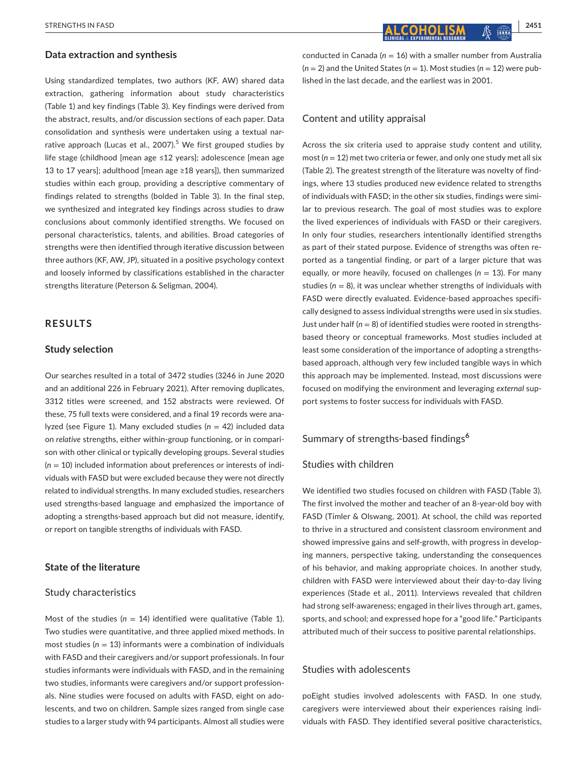#### **Data extraction and synthesis**

Using standardized templates, two authors (KF, AW) shared data extraction, gathering information about study characteristics (Table 1) and key findings (Table 3). Key findings were derived from the abstract, results, and/or discussion sections of each paper. Data consolidation and synthesis were undertaken using a textual narrative approach (Lucas et al., 2007).<sup>5</sup> We first grouped studies by life stage (childhood [mean age ≤12 years]; adolescence [mean age 13 to 17 years]; adulthood [mean age ≥18 years]), then summarized studies within each group, providing a descriptive commentary of findings related to strengths (bolded in Table 3). In the final step, we synthesized and integrated key findings across studies to draw conclusions about commonly identified strengths. We focused on personal characteristics, talents, and abilities. Broad categories of strengths were then identified through iterative discussion between three authors (KF, AW, JP), situated in a positive psychology context and loosely informed by classifications established in the character strengths literature (Peterson & Seligman, 2004).

## **RESULTS**

#### **Study selection**

Our searches resulted in a total of 3472 studies (3246 in June 2020 and an additional 226 in February 2021). After removing duplicates, 3312 titles were screened, and 152 abstracts were reviewed. Of these, 75 full texts were considered, and a final 19 records were analyzed (see Figure 1). Many excluded studies (*n* = 42) included data on *relative* strengths, either within-group functioning, or in comparison with other clinical or typically developing groups. Several studies (*n* = 10) included information about preferences or interests of individuals with FASD but were excluded because they were not directly related to individual strengths. In many excluded studies, researchers used strengths-based language and emphasized the importance of adopting a strengths-based approach but did not measure, identify, or report on tangible strengths of individuals with FASD.

## **State of the literature**

#### Study characteristics

Most of the studies  $(n = 14)$  identified were qualitative (Table 1). Two studies were quantitative, and three applied mixed methods. In most studies (*n* = 13) informants were a combination of individuals with FASD and their caregivers and/or support professionals. In four studies informants were individuals with FASD, and in the remaining two studies, informants were caregivers and/or support professionals. Nine studies were focused on adults with FASD, eight on adolescents, and two on children. Sample sizes ranged from single case studies to a larger study with 94 participants. Almost all studies were

**EXTRENGTHS IN FASD**  $\begin{bmatrix} 2451 \end{bmatrix}$  $\begin{bmatrix} 2451 \end{bmatrix}$  $\begin{bmatrix} 2451 \end{bmatrix}$  $\begin{bmatrix} 2451 \end{bmatrix}$ 

conducted in Canada (*n* = 16) with a smaller number from Australia  $(n = 2)$  and the United States  $(n = 1)$ . Most studies  $(n = 12)$  were published in the last decade, and the earliest was in 2001.

#### Content and utility appraisal

Across the six criteria used to appraise study content and utility, most (*n* = 12) met two criteria or fewer, and only one study met all six (Table 2). The greatest strength of the literature was novelty of findings, where 13 studies produced new evidence related to strengths of individuals with FASD; in the other six studies, findings were similar to previous research. The goal of most studies was to explore the lived experiences of individuals with FASD or their caregivers. In only four studies, researchers intentionally identified strengths as part of their stated purpose. Evidence of strengths was often reported as a tangential finding, or part of a larger picture that was equally, or more heavily, focused on challenges ( $n = 13$ ). For many studies ( $n = 8$ ), it was unclear whether strengths of individuals with FASD were directly evaluated. Evidence-based approaches specifically designed to assess individual strengths were used in six studies. Just under half  $(n = 8)$  of identified studies were rooted in strengthsbased theory or conceptual frameworks. Most studies included at least some consideration of the importance of adopting a strengthsbased approach, although very few included tangible ways in which this approach may be implemented. Instead, most discussions were focused on modifying the environment and leveraging *external* support systems to foster success for individuals with FASD.

## Summary of strengths-based findings**<sup>6</sup>**

#### Studies with children

We identified two studies focused on children with FASD (Table 3). The first involved the mother and teacher of an 8-year-old boy with FASD (Timler & Olswang, 2001). At school, the child was reported to thrive in a structured and consistent classroom environment and showed impressive gains and self-growth, with progress in developing manners, perspective taking, understanding the consequences of his behavior, and making appropriate choices. In another study, children with FASD were interviewed about their day-to-day living experiences (Stade et al., 2011). Interviews revealed that children had strong self-awareness; engaged in their lives through art, games, sports, and school; and expressed hope for a "good life." Participants attributed much of their success to positive parental relationships.

## Studies with adolescents

poEight studies involved adolescents with FASD. In one study, caregivers were interviewed about their experiences raising individuals with FASD. They identified several positive characteristics,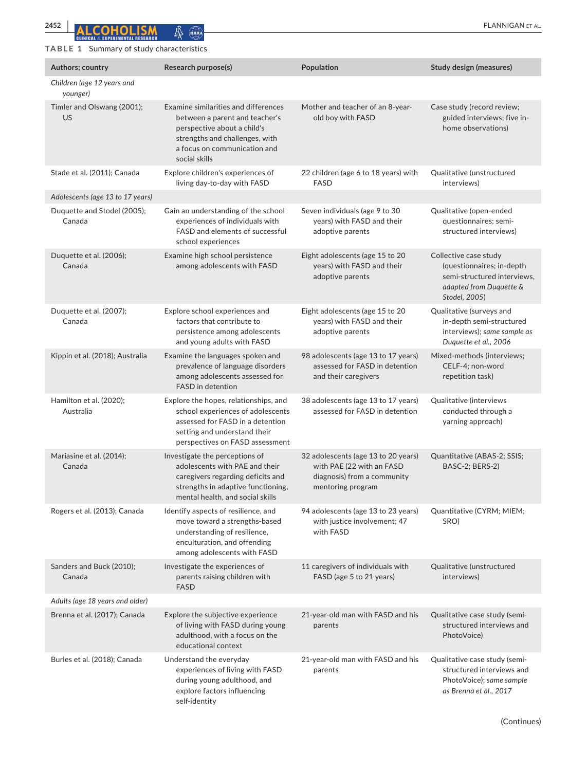## **TABLE 1** Summary of study characteristics

| Authors; country                       | Research purpose(s)                                                                                                                                                                      | Population                                                                                                           | <b>Study design (measures)</b>                                                                                                |
|----------------------------------------|------------------------------------------------------------------------------------------------------------------------------------------------------------------------------------------|----------------------------------------------------------------------------------------------------------------------|-------------------------------------------------------------------------------------------------------------------------------|
| Children (age 12 years and<br>younger) |                                                                                                                                                                                          |                                                                                                                      |                                                                                                                               |
| Timler and Olswang (2001);<br>US       | Examine similarities and differences<br>between a parent and teacher's<br>perspective about a child's<br>strengths and challenges, with<br>a focus on communication and<br>social skills | Mother and teacher of an 8-year-<br>old boy with FASD                                                                | Case study (record review;<br>guided interviews; five in-<br>home observations)                                               |
| Stade et al. (2011); Canada            | Explore children's experiences of<br>living day-to-day with FASD                                                                                                                         | 22 children (age 6 to 18 years) with<br><b>FASD</b>                                                                  | Qualitative (unstructured<br>interviews)                                                                                      |
| Adolescents (age 13 to 17 years)       |                                                                                                                                                                                          |                                                                                                                      |                                                                                                                               |
| Duquette and Stodel (2005);<br>Canada  | Gain an understanding of the school<br>experiences of individuals with<br>FASD and elements of successful<br>school experiences                                                          | Seven individuals (age 9 to 30<br>years) with FASD and their<br>adoptive parents                                     | Qualitative (open-ended<br>questionnaires; semi-<br>structured interviews)                                                    |
| Duquette et al. (2006);<br>Canada      | Examine high school persistence<br>among adolescents with FASD                                                                                                                           | Eight adolescents (age 15 to 20<br>years) with FASD and their<br>adoptive parents                                    | Collective case study<br>(questionnaires; in-depth<br>semi-structured interviews,<br>adapted from Duquette &<br>Stodel, 2005) |
| Duquette et al. (2007);<br>Canada      | Explore school experiences and<br>factors that contribute to<br>persistence among adolescents<br>and young adults with FASD                                                              | Eight adolescents (age 15 to 20<br>years) with FASD and their<br>adoptive parents                                    | Qualitative (surveys and<br>in-depth semi-structured<br>interviews); same sample as<br>Duquette et al., 2006                  |
| Kippin et al. (2018); Australia        | Examine the languages spoken and<br>prevalence of language disorders<br>among adolescents assessed for<br>FASD in detention                                                              | 98 adolescents (age 13 to 17 years)<br>assessed for FASD in detention<br>and their caregivers                        | Mixed-methods (interviews;<br>CELF-4; non-word<br>repetition task)                                                            |
| Hamilton et al. (2020);<br>Australia   | Explore the hopes, relationships, and<br>school experiences of adolescents<br>assessed for FASD in a detention<br>setting and understand their<br>perspectives on FASD assessment        | 38 adolescents (age 13 to 17 years)<br>assessed for FASD in detention                                                | Qualitative (interviews<br>conducted through a<br>yarning approach)                                                           |
| Mariasine et al. (2014);<br>Canada     | Investigate the perceptions of<br>adolescents with PAE and their<br>caregivers regarding deficits and<br>strengths in adaptive functioning,<br>mental health, and social skills          | 32 adolescents (age 13 to 20 years)<br>with PAE (22 with an FASD<br>diagnosis) from a community<br>mentoring program | Quantitative (ABAS-2; SSIS;<br>BASC-2; BERS-2)                                                                                |
| Rogers et al. (2013); Canada           | Identify aspects of resilience, and<br>move toward a strengths-based<br>understanding of resilience,<br>enculturation, and offending<br>among adolescents with FASD                      | 94 adolescents (age 13 to 23 years)<br>with justice involvement; 47<br>with FASD                                     | Quantitative (CYRM; MIEM;<br>SRO)                                                                                             |
| Sanders and Buck (2010);<br>Canada     | Investigate the experiences of<br>parents raising children with<br><b>FASD</b>                                                                                                           | 11 caregivers of individuals with<br>FASD (age 5 to 21 years)                                                        | Qualitative (unstructured<br>interviews)                                                                                      |
| Adults (age 18 years and older)        |                                                                                                                                                                                          |                                                                                                                      |                                                                                                                               |
| Brenna et al. (2017); Canada           | Explore the subjective experience<br>of living with FASD during young<br>adulthood, with a focus on the<br>educational context                                                           | 21-year-old man with FASD and his<br>parents                                                                         | Qualitative case study (semi-<br>structured interviews and<br>PhotoVoice)                                                     |
| Burles et al. (2018); Canada           | Understand the everyday<br>experiences of living with FASD<br>during young adulthood, and<br>explore factors influencing<br>self-identity                                                | 21-year-old man with FASD and his<br>parents                                                                         | Qualitative case study (semi-<br>structured interviews and<br>PhotoVoice); same sample<br>as Brenna et al., 2017              |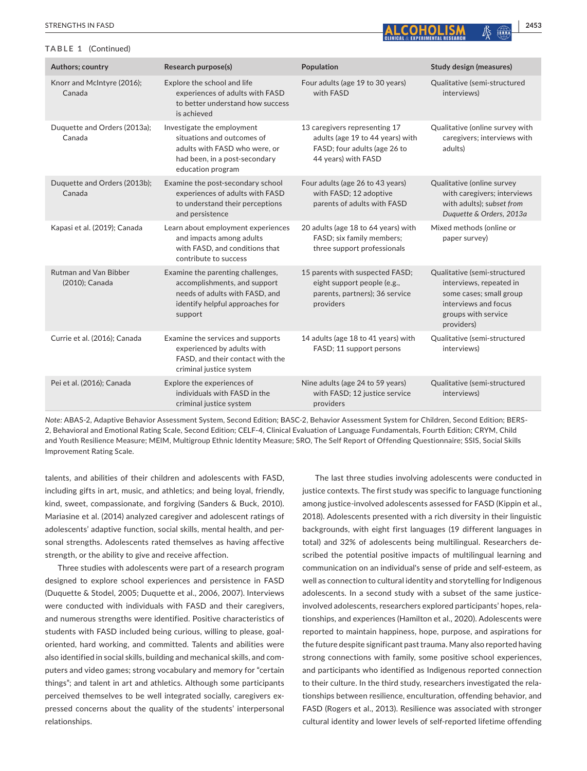#### **TABLE 1** (Continued)

| Research purpose(s)<br>Population<br>Authors; country<br><b>Study design (measures)</b><br>Four adults (age 19 to 30 years)<br>Knorr and McIntyre (2016);<br>Explore the school and life<br>Qualitative (semi-structured<br>Canada<br>experiences of adults with FASD<br>with FASD<br>interviews)<br>to better understand how success<br>is achieved<br>Duquette and Orders (2013a);<br>Investigate the employment<br>13 caregivers representing 17<br>Qualitative (online survey with<br>situations and outcomes of<br>Canada<br>adults (age 19 to 44 years) with<br>caregivers; interviews with<br>adults with FASD who were, or<br>FASD; four adults (age 26 to<br>adults)<br>44 years) with FASD<br>had been, in a post-secondary<br>education program<br>Duquette and Orders (2013b);<br>Examine the post-secondary school<br>Four adults (age 26 to 43 years)<br>Qualitative (online survey<br>experiences of adults with FASD<br>Canada<br>with FASD; 12 adoptive<br>with caregivers; interviews<br>with adults); subset from<br>to understand their perceptions<br>parents of adults with FASD<br>Duquette & Orders, 2013a<br>and persistence<br>Kapasi et al. (2019); Canada<br>Learn about employment experiences<br>20 adults (age 18 to 64 years) with<br>Mixed methods (online or<br>and impacts among adults<br>FASD; six family members;<br>paper survey)<br>with FASD, and conditions that<br>three support professionals<br>contribute to success<br>15 parents with suspected FASD;<br><b>Rutman and Van Bibber</b><br>Examine the parenting challenges,<br>Qualitative (semi-structured<br>eight support people (e.g.,<br>(2010); Canada<br>accomplishments, and support<br>interviews, repeated in<br>needs of adults with FASD, and<br>parents, partners); 36 service<br>some cases; small group<br>interviews and focus<br>identify helpful approaches for<br>providers<br>groups with service<br>support<br>providers)<br>Qualitative (semi-structured<br>Currie et al. (2016); Canada<br>Examine the services and supports<br>14 adults (age 18 to 41 years) with<br>experienced by adults with<br>FASD; 11 support persons<br>interviews)<br>FASD, and their contact with the<br>criminal justice system<br>Qualitative (semi-structured<br>Pei et al. (2016); Canada<br>Explore the experiences of<br>Nine adults (age 24 to 59 years)<br>individuals with FASD in the<br>with FASD; 12 justice service<br>interviews)<br>providers<br>criminal justice system |  |  |
|------------------------------------------------------------------------------------------------------------------------------------------------------------------------------------------------------------------------------------------------------------------------------------------------------------------------------------------------------------------------------------------------------------------------------------------------------------------------------------------------------------------------------------------------------------------------------------------------------------------------------------------------------------------------------------------------------------------------------------------------------------------------------------------------------------------------------------------------------------------------------------------------------------------------------------------------------------------------------------------------------------------------------------------------------------------------------------------------------------------------------------------------------------------------------------------------------------------------------------------------------------------------------------------------------------------------------------------------------------------------------------------------------------------------------------------------------------------------------------------------------------------------------------------------------------------------------------------------------------------------------------------------------------------------------------------------------------------------------------------------------------------------------------------------------------------------------------------------------------------------------------------------------------------------------------------------------------------------------------------------------------------------------------------------------------------------------------------------------------------------------------------------------------------------------------------------------------------------------------------------------------------------------------------------------------------------------------------------------------------------------------------------------------------------------------------------------------------------------------------|--|--|
|                                                                                                                                                                                                                                                                                                                                                                                                                                                                                                                                                                                                                                                                                                                                                                                                                                                                                                                                                                                                                                                                                                                                                                                                                                                                                                                                                                                                                                                                                                                                                                                                                                                                                                                                                                                                                                                                                                                                                                                                                                                                                                                                                                                                                                                                                                                                                                                                                                                                                          |  |  |
|                                                                                                                                                                                                                                                                                                                                                                                                                                                                                                                                                                                                                                                                                                                                                                                                                                                                                                                                                                                                                                                                                                                                                                                                                                                                                                                                                                                                                                                                                                                                                                                                                                                                                                                                                                                                                                                                                                                                                                                                                                                                                                                                                                                                                                                                                                                                                                                                                                                                                          |  |  |
|                                                                                                                                                                                                                                                                                                                                                                                                                                                                                                                                                                                                                                                                                                                                                                                                                                                                                                                                                                                                                                                                                                                                                                                                                                                                                                                                                                                                                                                                                                                                                                                                                                                                                                                                                                                                                                                                                                                                                                                                                                                                                                                                                                                                                                                                                                                                                                                                                                                                                          |  |  |
|                                                                                                                                                                                                                                                                                                                                                                                                                                                                                                                                                                                                                                                                                                                                                                                                                                                                                                                                                                                                                                                                                                                                                                                                                                                                                                                                                                                                                                                                                                                                                                                                                                                                                                                                                                                                                                                                                                                                                                                                                                                                                                                                                                                                                                                                                                                                                                                                                                                                                          |  |  |
|                                                                                                                                                                                                                                                                                                                                                                                                                                                                                                                                                                                                                                                                                                                                                                                                                                                                                                                                                                                                                                                                                                                                                                                                                                                                                                                                                                                                                                                                                                                                                                                                                                                                                                                                                                                                                                                                                                                                                                                                                                                                                                                                                                                                                                                                                                                                                                                                                                                                                          |  |  |
|                                                                                                                                                                                                                                                                                                                                                                                                                                                                                                                                                                                                                                                                                                                                                                                                                                                                                                                                                                                                                                                                                                                                                                                                                                                                                                                                                                                                                                                                                                                                                                                                                                                                                                                                                                                                                                                                                                                                                                                                                                                                                                                                                                                                                                                                                                                                                                                                                                                                                          |  |  |
|                                                                                                                                                                                                                                                                                                                                                                                                                                                                                                                                                                                                                                                                                                                                                                                                                                                                                                                                                                                                                                                                                                                                                                                                                                                                                                                                                                                                                                                                                                                                                                                                                                                                                                                                                                                                                                                                                                                                                                                                                                                                                                                                                                                                                                                                                                                                                                                                                                                                                          |  |  |
|                                                                                                                                                                                                                                                                                                                                                                                                                                                                                                                                                                                                                                                                                                                                                                                                                                                                                                                                                                                                                                                                                                                                                                                                                                                                                                                                                                                                                                                                                                                                                                                                                                                                                                                                                                                                                                                                                                                                                                                                                                                                                                                                                                                                                                                                                                                                                                                                                                                                                          |  |  |

*Note:* ABAS-2, Adaptive Behavior Assessment System, Second Edition; BASC-2, Behavior Assessment System for Children, Second Edition; BERS-2, Behavioral and Emotional Rating Scale, Second Edition; CELF-4, Clinical Evaluation of Language Fundamentals, Fourth Edition; CRYM, Child and Youth Resilience Measure; MEIM, Multigroup Ethnic Identity Measure; SRO, The Self Report of Offending Questionnaire; SSIS, Social Skills Improvement Rating Scale.

talents, and abilities of their children and adolescents with FASD, including gifts in art, music, and athletics; and being loyal, friendly, kind, sweet, compassionate, and forgiving (Sanders & Buck, 2010). Mariasine et al. (2014) analyzed caregiver and adolescent ratings of adolescents' adaptive function, social skills, mental health, and personal strengths. Adolescents rated themselves as having affective strength, or the ability to give and receive affection.

Three studies with adolescents were part of a research program designed to explore school experiences and persistence in FASD (Duquette & Stodel, 2005; Duquette et al., 2006, 2007). Interviews were conducted with individuals with FASD and their caregivers, and numerous strengths were identified. Positive characteristics of students with FASD included being curious, willing to please, goaloriented, hard working, and committed. Talents and abilities were also identified in social skills, building and mechanical skills, and computers and video games; strong vocabulary and memory for "certain things"; and talent in art and athletics. Although some participants perceived themselves to be well integrated socially, caregivers expressed concerns about the quality of the students' interpersonal relationships.

The last three studies involving adolescents were conducted in justice contexts. The first study was specific to language functioning among justice-involved adolescents assessed for FASD (Kippin et al., 2018). Adolescents presented with a rich diversity in their linguistic backgrounds, with eight first languages (19 different languages in total) and 32% of adolescents being multilingual. Researchers described the potential positive impacts of multilingual learning and communication on an individual's sense of pride and self-esteem, as well as connection to cultural identity and storytelling for Indigenous adolescents. In a second study with a subset of the same justiceinvolved adolescents, researchers explored participants' hopes, relationships, and experiences (Hamilton et al., 2020). Adolescents were reported to maintain happiness, hope, purpose, and aspirations for the future despite significant past trauma. Many also reported having strong connections with family, some positive school experiences, and participants who identified as Indigenous reported connection to their culture. In the third study, researchers investigated the relationships between resilience, enculturation, offending behavior, and FASD (Rogers et al., 2013). Resilience was associated with stronger cultural identity and lower levels of self-reported lifetime offending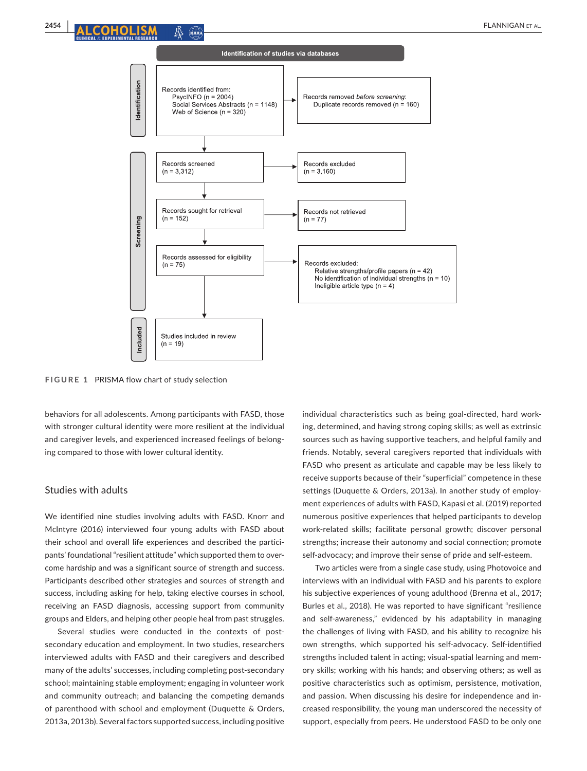

**FIGURE 1** PRISMA flow chart of study selection

behaviors for all adolescents. Among participants with FASD, those with stronger cultural identity were more resilient at the individual and caregiver levels, and experienced increased feelings of belonging compared to those with lower cultural identity.

#### Studies with adults

We identified nine studies involving adults with FASD. Knorr and McIntyre (2016) interviewed four young adults with FASD about their school and overall life experiences and described the participants' foundational "resilient attitude" which supported them to overcome hardship and was a significant source of strength and success. Participants described other strategies and sources of strength and success, including asking for help, taking elective courses in school, receiving an FASD diagnosis, accessing support from community groups and Elders, and helping other people heal from past struggles.

Several studies were conducted in the contexts of postsecondary education and employment. In two studies, researchers interviewed adults with FASD and their caregivers and described many of the adults' successes, including completing post-secondary school; maintaining stable employment; engaging in volunteer work and community outreach; and balancing the competing demands of parenthood with school and employment (Duquette & Orders, 2013a, 2013b). Several factors supported success, including positive

individual characteristics such as being goal-directed, hard working, determined, and having strong coping skills; as well as extrinsic sources such as having supportive teachers, and helpful family and friends. Notably, several caregivers reported that individuals with FASD who present as articulate and capable may be less likely to receive supports because of their "superficial" competence in these settings (Duquette & Orders, 2013a). In another study of employment experiences of adults with FASD, Kapasi et al. (2019) reported numerous positive experiences that helped participants to develop work-related skills; facilitate personal growth; discover personal strengths; increase their autonomy and social connection; promote self-advocacy; and improve their sense of pride and self-esteem.

Two articles were from a single case study, using Photovoice and interviews with an individual with FASD and his parents to explore his subjective experiences of young adulthood (Brenna et al., 2017; Burles et al., 2018). He was reported to have significant "resilience and self-awareness," evidenced by his adaptability in managing the challenges of living with FASD, and his ability to recognize his own strengths, which supported his self-advocacy. Self-identified strengths included talent in acting; visual-spatial learning and memory skills; working with his hands; and observing others; as well as positive characteristics such as optimism, persistence, motivation, and passion. When discussing his desire for independence and increased responsibility, the young man underscored the necessity of support, especially from peers. He understood FASD to be only one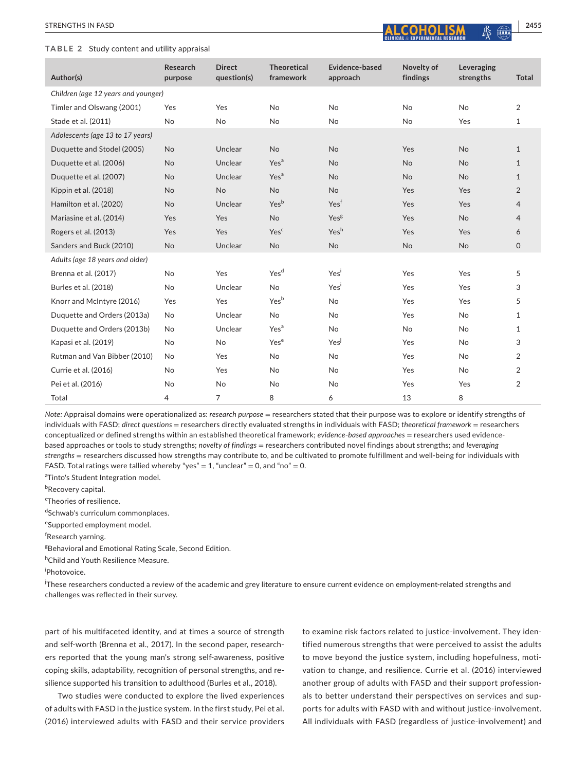#### **TABLE 2** Study content and utility appraisal



| Author(s)                           | Research<br>purpose | <b>Direct</b><br>question(s) | <b>Theoretical</b><br>framework | Evidence-based<br>approach | Novelty of<br>findings | Leveraging<br>strengths | <b>Total</b>   |
|-------------------------------------|---------------------|------------------------------|---------------------------------|----------------------------|------------------------|-------------------------|----------------|
| Children (age 12 years and younger) |                     |                              |                                 |                            |                        |                         |                |
| Timler and Olswang (2001)           | Yes                 | Yes                          | <b>No</b>                       | <b>No</b>                  | <b>No</b>              | No                      | $\overline{2}$ |
| Stade et al. (2011)                 | No                  | <b>No</b>                    | <b>No</b>                       | <b>No</b>                  | <b>No</b>              | Yes                     | $\mathbf{1}$   |
| Adolescents (age 13 to 17 years)    |                     |                              |                                 |                            |                        |                         |                |
| Duquette and Stodel (2005)          | <b>No</b>           | Unclear                      | <b>No</b>                       | <b>No</b>                  | Yes                    | <b>No</b>               | $\mathbf{1}$   |
| Duquette et al. (2006)              | <b>No</b>           | Unclear                      | Yes <sup>a</sup>                | <b>No</b>                  | <b>No</b>              | <b>No</b>               | $\mathbf{1}$   |
| Duquette et al. (2007)              | <b>No</b>           | Unclear                      | Yes <sup>a</sup>                | <b>No</b>                  | No                     | No                      | $\mathbf{1}$   |
| Kippin et al. (2018)                | <b>No</b>           | <b>No</b>                    | <b>No</b>                       | <b>No</b>                  | Yes                    | Yes                     | $\overline{2}$ |
| Hamilton et al. (2020)              | <b>No</b>           | Unclear                      | Yes <sup>b</sup>                | Yesf                       | Yes                    | Yes                     | $\overline{4}$ |
| Mariasine et al. (2014)             | Yes                 | Yes                          | <b>No</b>                       | Yes <sup>g</sup>           | Yes                    | <b>No</b>               | $\overline{4}$ |
| Rogers et al. (2013)                | Yes                 | Yes                          | Yesc                            | Yesh                       | Yes                    | Yes                     | 6              |
| Sanders and Buck (2010)             | <b>No</b>           | Unclear                      | <b>No</b>                       | <b>No</b>                  | <b>No</b>              | <b>No</b>               | $\Omega$       |
| Adults (age 18 years and older)     |                     |                              |                                 |                            |                        |                         |                |
| Brenna et al. (2017)                | No                  | Yes                          | Yes <sup>d</sup>                | Yesi                       | Yes                    | Yes                     | 5              |
| Burles et al. (2018)                | No                  | Unclear                      | No                              | Yes                        | Yes                    | Yes                     | 3              |
| Knorr and McIntyre (2016)           | Yes                 | Yes                          | Yes <sup>b</sup>                | <b>No</b>                  | Yes                    | Yes                     | 5              |
| Duquette and Orders (2013a)         | No                  | Unclear                      | No                              | <b>No</b>                  | Yes                    | No                      | $\mathbf{1}$   |
| Duquette and Orders (2013b)         | No                  | Unclear                      | Yes <sup>a</sup>                | <b>No</b>                  | <b>No</b>              | No                      | $\mathbf{1}$   |
| Kapasi et al. (2019)                | No                  | No                           | Yes <sup>e</sup>                | Yes                        | Yes                    | No                      | 3              |
| Rutman and Van Bibber (2010)        | No                  | Yes                          | No                              | <b>No</b>                  | Yes                    | No                      | $\overline{2}$ |
| Currie et al. (2016)                | No                  | Yes                          | No                              | <b>No</b>                  | Yes                    | <b>No</b>               | 2              |
| Pei et al. (2016)                   | No                  | No                           | No                              | <b>No</b>                  | Yes                    | Yes                     | $\overline{2}$ |
| Total                               | 4                   | $\overline{7}$               | 8                               | 6                          | 13                     | 8                       |                |

*Note:* Appraisal domains were operationalized as: *research purpose* = researchers stated that their purpose was to explore or identify strengths of individuals with FASD; *direct questions* = researchers directly evaluated strengths in individuals with FASD; *theoretical framework* = researchers conceptualized or defined strengths within an established theoretical framework; *evidence*-*based approaches* = researchers used evidencebased approaches or tools to study strengths; *novelty of findings* = researchers contributed novel findings about strengths; and *leveraging strengths* = researchers discussed how strengths may contribute to, and be cultivated to promote fulfillment and well-being for individuals with FASD. Total ratings were tallied whereby "yes" = 1, "unclear" = 0, and "no" = 0.

<sup>a</sup>Tinto's Student Integration model.

<sup>b</sup>Recovery capital.

<sup>c</sup>Theories of resilience.

dSchwab's curriculum commonplaces.

e Supported employment model.

f Research yarning.

<sup>g</sup>Behavioral and Emotional Rating Scale, Second Edition.

h Child and Youth Resilience Measure.

i Photovoice.

.<br>These researchers conducted a review of the academic and grey literature to ensure current evidence on employment-related strengths and challenges was reflected in their survey.

part of his multifaceted identity, and at times a source of strength and self-worth (Brenna et al., 2017). In the second paper, researchers reported that the young man's strong self-awareness, positive coping skills, adaptability, recognition of personal strengths, and resilience supported his transition to adulthood (Burles et al., 2018).

Two studies were conducted to explore the lived experiences of adults with FASD in the justice system. In the first study, Pei et al. (2016) interviewed adults with FASD and their service providers

to examine risk factors related to justice-involvement. They identified numerous strengths that were perceived to assist the adults to move beyond the justice system, including hopefulness, motivation to change, and resilience. Currie et al. (2016) interviewed another group of adults with FASD and their support professionals to better understand their perspectives on services and supports for adults with FASD with and without justice-involvement. All individuals with FASD (regardless of justice-involvement) and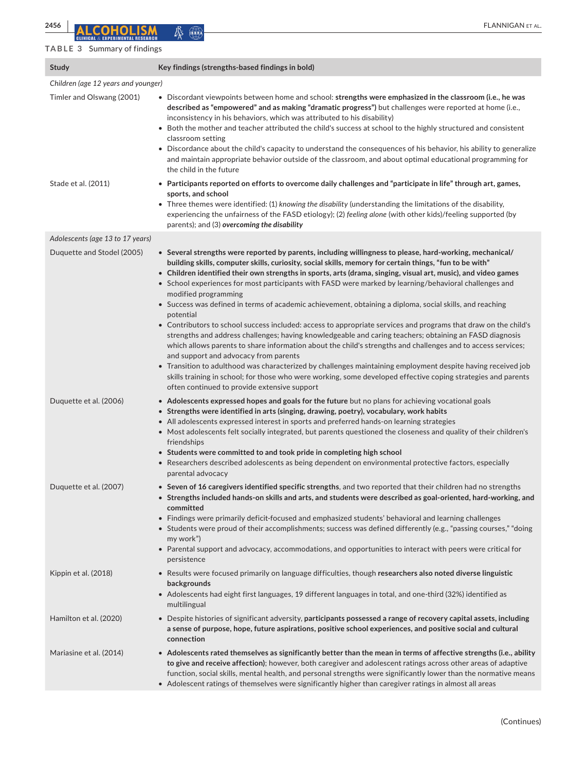## **TABLE 3** Summary of findings

| $1 - 1$ $1 - 1$ $1 - 1$ $1 - 1$ $1 - 1$ $1 - 1$ $1 - 1$ |                                                                                                                                                                                                                                                                                                                                                                                                                                                                                                                                                                                                                                                                                                                                                                                                                                                                                                                                                                                                                                                                                                                                                                                                                                                                          |
|---------------------------------------------------------|--------------------------------------------------------------------------------------------------------------------------------------------------------------------------------------------------------------------------------------------------------------------------------------------------------------------------------------------------------------------------------------------------------------------------------------------------------------------------------------------------------------------------------------------------------------------------------------------------------------------------------------------------------------------------------------------------------------------------------------------------------------------------------------------------------------------------------------------------------------------------------------------------------------------------------------------------------------------------------------------------------------------------------------------------------------------------------------------------------------------------------------------------------------------------------------------------------------------------------------------------------------------------|
| <b>Study</b>                                            | Key findings (strengths-based findings in bold)                                                                                                                                                                                                                                                                                                                                                                                                                                                                                                                                                                                                                                                                                                                                                                                                                                                                                                                                                                                                                                                                                                                                                                                                                          |
| Children (age 12 years and younger)                     |                                                                                                                                                                                                                                                                                                                                                                                                                                                                                                                                                                                                                                                                                                                                                                                                                                                                                                                                                                                                                                                                                                                                                                                                                                                                          |
| Timler and Olswang (2001)                               | • Discordant viewpoints between home and school: strengths were emphasized in the classroom (i.e., he was<br>described as "empowered" and as making "dramatic progress") but challenges were reported at home (i.e.,<br>inconsistency in his behaviors, which was attributed to his disability)<br>• Both the mother and teacher attributed the child's success at school to the highly structured and consistent<br>classroom setting<br>• Discordance about the child's capacity to understand the consequences of his behavior, his ability to generalize<br>and maintain appropriate behavior outside of the classroom, and about optimal educational programming for<br>the child in the future                                                                                                                                                                                                                                                                                                                                                                                                                                                                                                                                                                     |
| Stade et al. (2011)                                     | • Participants reported on efforts to overcome daily challenges and "participate in life" through art, games,<br>sports, and school                                                                                                                                                                                                                                                                                                                                                                                                                                                                                                                                                                                                                                                                                                                                                                                                                                                                                                                                                                                                                                                                                                                                      |
|                                                         | • Three themes were identified: (1) knowing the disability (understanding the limitations of the disability,<br>experiencing the unfairness of the FASD etiology); (2) feeling alone (with other kids)/feeling supported (by<br>parents); and (3) overcoming the disability                                                                                                                                                                                                                                                                                                                                                                                                                                                                                                                                                                                                                                                                                                                                                                                                                                                                                                                                                                                              |
| Adolescents (age 13 to 17 years)                        |                                                                                                                                                                                                                                                                                                                                                                                                                                                                                                                                                                                                                                                                                                                                                                                                                                                                                                                                                                                                                                                                                                                                                                                                                                                                          |
| Duquette and Stodel (2005)                              | • Several strengths were reported by parents, including willingness to please, hard-working, mechanical/<br>building skills, computer skills, curiosity, social skills, memory for certain things, "fun to be with"<br>• Children identified their own strengths in sports, arts (drama, singing, visual art, music), and video games<br>• School experiences for most participants with FASD were marked by learning/behavioral challenges and<br>modified programming<br>• Success was defined in terms of academic achievement, obtaining a diploma, social skills, and reaching<br>potential<br>• Contributors to school success included: access to appropriate services and programs that draw on the child's<br>strengths and address challenges; having knowledgeable and caring teachers; obtaining an FASD diagnosis<br>which allows parents to share information about the child's strengths and challenges and to access services;<br>and support and advocacy from parents<br>• Transition to adulthood was characterized by challenges maintaining employment despite having received job<br>skills training in school; for those who were working, some developed effective coping strategies and parents<br>often continued to provide extensive support |
| Duquette et al. (2006)                                  | • Adolescents expressed hopes and goals for the future but no plans for achieving vocational goals<br>• Strengths were identified in arts (singing, drawing, poetry), vocabulary, work habits<br>• All adolescents expressed interest in sports and preferred hands-on learning strategies<br>• Most adolescents felt socially integrated, but parents questioned the closeness and quality of their children's<br>friendships<br>• Students were committed to and took pride in completing high school<br>• Researchers described adolescents as being dependent on environmental protective factors, especially<br>parental advocacy                                                                                                                                                                                                                                                                                                                                                                                                                                                                                                                                                                                                                                   |
| Duquette et al. (2007)                                  | • Seven of 16 caregivers identified specific strengths, and two reported that their children had no strengths<br>$\bullet~$ Strengths included hands-on skills and arts, and students were described as goal-oriented, hard-working, and<br>committed<br>• Findings were primarily deficit-focused and emphasized students' behavioral and learning challenges<br>• Students were proud of their accomplishments; success was defined differently (e.g., "passing courses," "doing<br>my work")<br>• Parental support and advocacy, accommodations, and opportunities to interact with peers were critical for<br>persistence                                                                                                                                                                                                                                                                                                                                                                                                                                                                                                                                                                                                                                            |
| Kippin et al. (2018)                                    | • Results were focused primarily on language difficulties, though researchers also noted diverse linguistic<br>backgrounds<br>• Adolescents had eight first languages, 19 different languages in total, and one-third (32%) identified as<br>multilingual                                                                                                                                                                                                                                                                                                                                                                                                                                                                                                                                                                                                                                                                                                                                                                                                                                                                                                                                                                                                                |
| Hamilton et al. (2020)                                  | • Despite histories of significant adversity, participants possessed a range of recovery capital assets, including<br>a sense of purpose, hope, future aspirations, positive school experiences, and positive social and cultural<br>connection                                                                                                                                                                                                                                                                                                                                                                                                                                                                                                                                                                                                                                                                                                                                                                                                                                                                                                                                                                                                                          |
| Mariasine et al. (2014)                                 | • Adolescents rated themselves as significantly better than the mean in terms of affective strengths (i.e., ability<br>to give and receive affection); however, both caregiver and adolescent ratings across other areas of adaptive<br>function, social skills, mental health, and personal strengths were significantly lower than the normative means<br>• Adolescent ratings of themselves were significantly higher than caregiver ratings in almost all areas                                                                                                                                                                                                                                                                                                                                                                                                                                                                                                                                                                                                                                                                                                                                                                                                      |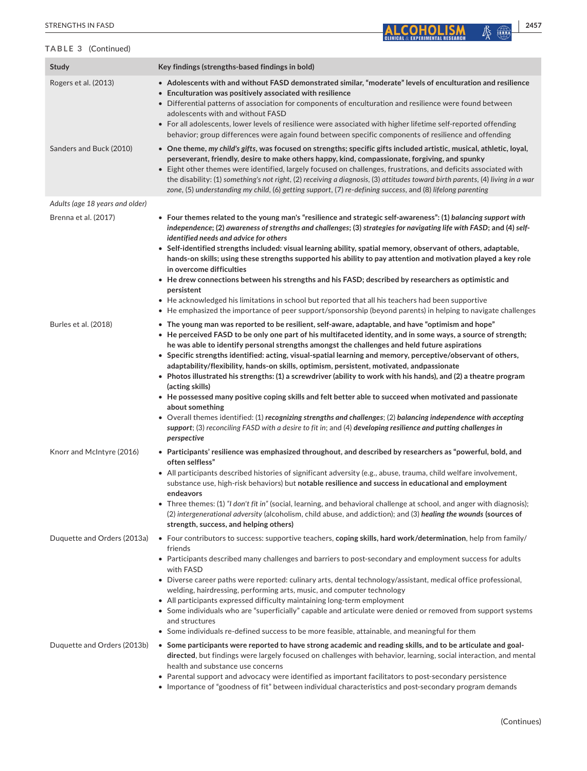#### **TABLE 3** (Continued)

| TABLE 3 (Continued)             |                                                                                                                                                                                                                                                                                                                                                                                                                                                                                                                                                                                                                                                                                                                                                                                                                                                                                                                                                                                                                                                              |
|---------------------------------|--------------------------------------------------------------------------------------------------------------------------------------------------------------------------------------------------------------------------------------------------------------------------------------------------------------------------------------------------------------------------------------------------------------------------------------------------------------------------------------------------------------------------------------------------------------------------------------------------------------------------------------------------------------------------------------------------------------------------------------------------------------------------------------------------------------------------------------------------------------------------------------------------------------------------------------------------------------------------------------------------------------------------------------------------------------|
| <b>Study</b>                    | Key findings (strengths-based findings in bold)                                                                                                                                                                                                                                                                                                                                                                                                                                                                                                                                                                                                                                                                                                                                                                                                                                                                                                                                                                                                              |
| Rogers et al. (2013)            | • Adolescents with and without FASD demonstrated similar, "moderate" levels of enculturation and resilience<br>• Enculturation was positively associated with resilience<br>• Differential patterns of association for components of enculturation and resilience were found between<br>adolescents with and without FASD<br>• For all adolescents, lower levels of resilience were associated with higher lifetime self-reported offending<br>behavior; group differences were again found between specific components of resilience and offending                                                                                                                                                                                                                                                                                                                                                                                                                                                                                                          |
| Sanders and Buck (2010)         | • One theme, my child's gifts, was focused on strengths; specific gifts included artistic, musical, athletic, loyal,<br>perseverant, friendly, desire to make others happy, kind, compassionate, forgiving, and spunky<br>• Eight other themes were identified, largely focused on challenges, frustrations, and deficits associated with<br>the disability: (1) something's not right, (2) receiving a diagnosis, (3) attitudes toward birth parents, (4) living in a war<br>zone, (5) understanding my child, (6) getting support, (7) re-defining success, and (8) lifelong parenting                                                                                                                                                                                                                                                                                                                                                                                                                                                                     |
| Adults (age 18 years and older) |                                                                                                                                                                                                                                                                                                                                                                                                                                                                                                                                                                                                                                                                                                                                                                                                                                                                                                                                                                                                                                                              |
| Brenna et al. (2017)            | • Four themes related to the young man's "resilience and strategic self-awareness": (1) balancing support with<br>independence; (2) awareness of strengths and challenges; (3) strategies for navigating life with FASD; and (4) self-<br>identified needs and advice for others<br>• Self-identified strengths included: visual learning ability, spatial memory, observant of others, adaptable,<br>hands-on skills; using these strengths supported his ability to pay attention and motivation played a key role<br>in overcome difficulties<br>• He drew connections between his strengths and his FASD; described by researchers as optimistic and<br>persistent<br>• He acknowledged his limitations in school but reported that all his teachers had been supportive<br>• He emphasized the importance of peer support/sponsorship (beyond parents) in helping to navigate challenges                                                                                                                                                                |
| Burles et al. (2018)            | • The young man was reported to be resilient, self-aware, adaptable, and have "optimism and hope"<br>• He perceived FASD to be only one part of his multifaceted identity, and in some ways, a source of strength;<br>he was able to identify personal strengths amongst the challenges and held future aspirations<br>• Specific strengths identified: acting, visual-spatial learning and memory, perceptive/observant of others,<br>adaptability/flexibility, hands-on skills, optimism, persistent, motivated, andpassionate<br>• Photos illustrated his strengths: (1) a screwdriver (ability to work with his hands), and (2) a theatre program<br>(acting skills)<br>• He possessed many positive coping skills and felt better able to succeed when motivated and passionate<br>about something<br>• Overall themes identified: (1) recognizing strengths and challenges; (2) balancing independence with accepting<br>support; (3) reconciling FASD with a desire to fit in; and (4) developing resilience and putting challenges in<br>perspective |
| Knorr and McIntyre (2016)       | • Participants' resilience was emphasized throughout, and described by researchers as "powerful, bold, and<br>often selfless"<br>• All participants described histories of significant adversity (e.g., abuse, trauma, child welfare involvement,<br>substance use, high-risk behaviors) but notable resilience and success in educational and employment<br>endeavors<br>• Three themes: (1) "I don't fit in" (social, learning, and behavioral challenge at school, and anger with diagnosis);<br>(2) intergenerational adversity (alcoholism, child abuse, and addiction); and (3) healing the wounds (sources of<br>strength, success, and helping others)                                                                                                                                                                                                                                                                                                                                                                                               |
| Duquette and Orders (2013a)     | • Four contributors to success: supportive teachers, coping skills, hard work/determination, help from family/<br>friends<br>• Participants described many challenges and barriers to post-secondary and employment success for adults<br>with FASD<br>• Diverse career paths were reported: culinary arts, dental technology/assistant, medical office professional,<br>welding, hairdressing, performing arts, music, and computer technology<br>• All participants expressed difficulty maintaining long-term employment<br>• Some individuals who are "superficially" capable and articulate were denied or removed from support systems<br>and structures<br>• Some individuals re-defined success to be more feasible, attainable, and meaningful for them                                                                                                                                                                                                                                                                                             |
| Duquette and Orders (2013b)     | • Some participants were reported to have strong academic and reading skills, and to be articulate and goal-<br>directed, but findings were largely focused on challenges with behavior, learning, social interaction, and mental<br>health and substance use concerns<br>• Parental support and advocacy were identified as important facilitators to post-secondary persistence<br>• Importance of "goodness of fit" between individual characteristics and post-secondary program demands                                                                                                                                                                                                                                                                                                                                                                                                                                                                                                                                                                 |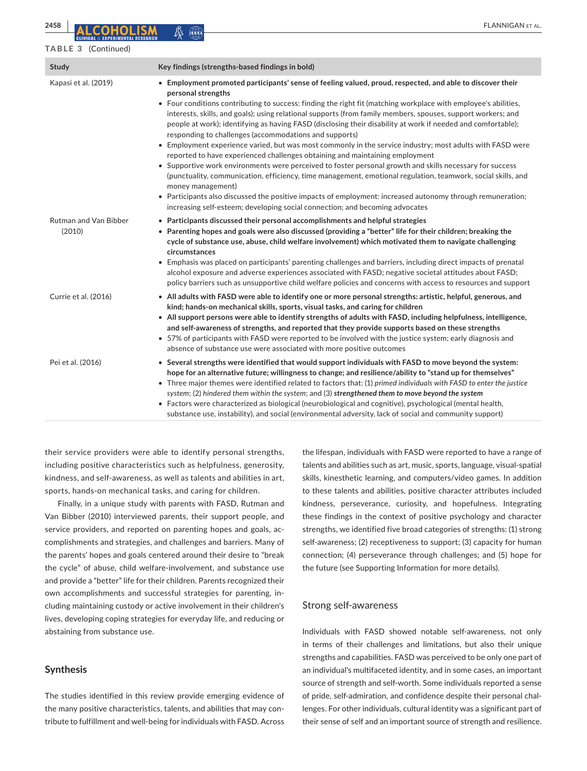#### **TABLE 3** (Continued)

| Study                                  | Key findings (strengths-based findings in bold)                                                                                                                                                                                                                                                                                                                                                                                                                                                                                                                                                                                                                                                                                                                                                                                                                                                                                                                                                                                                                                                                                                                                          |
|----------------------------------------|------------------------------------------------------------------------------------------------------------------------------------------------------------------------------------------------------------------------------------------------------------------------------------------------------------------------------------------------------------------------------------------------------------------------------------------------------------------------------------------------------------------------------------------------------------------------------------------------------------------------------------------------------------------------------------------------------------------------------------------------------------------------------------------------------------------------------------------------------------------------------------------------------------------------------------------------------------------------------------------------------------------------------------------------------------------------------------------------------------------------------------------------------------------------------------------|
| Kapasi et al. (2019)                   | • Employment promoted participants' sense of feeling valued, proud, respected, and able to discover their<br>personal strengths<br>• Four conditions contributing to success: finding the right fit (matching workplace with employee's abilities,<br>interests, skills, and goals); using relational supports (from family members, spouses, support workers; and<br>people at work); identifying as having FASD (disclosing their disability at work if needed and comfortable);<br>responding to challenges (accommodations and supports)<br>• Employment experience varied, but was most commonly in the service industry; most adults with FASD were<br>reported to have experienced challenges obtaining and maintaining employment<br>• Supportive work environments were perceived to foster personal growth and skills necessary for success<br>(punctuality, communication, efficiency, time management, emotional regulation, teamwork, social skills, and<br>money management)<br>• Participants also discussed the positive impacts of employment: increased autonomy through remuneration;<br>increasing self-esteem; developing social connection; and becoming advocates |
| <b>Rutman and Van Bibber</b><br>(2010) | • Participants discussed their personal accomplishments and helpful strategies<br>• Parenting hopes and goals were also discussed (providing a "better" life for their children; breaking the<br>cycle of substance use, abuse, child welfare involvement) which motivated them to navigate challenging<br>circumstances<br>• Emphasis was placed on participants' parenting challenges and barriers, including direct impacts of prenatal<br>alcohol exposure and adverse experiences associated with FASD; negative societal attitudes about FASD;<br>policy barriers such as unsupportive child welfare policies and concerns with access to resources and support                                                                                                                                                                                                                                                                                                                                                                                                                                                                                                                    |
| Currie et al. (2016)                   | • All adults with FASD were able to identify one or more personal strengths: artistic, helpful, generous, and<br>kind; hands-on mechanical skills, sports, visual tasks, and caring for children<br>. All support persons were able to identify strengths of adults with FASD, including helpfulness, intelligence,<br>and self-awareness of strengths, and reported that they provide supports based on these strengths<br>• 57% of participants with FASD were reported to be involved with the justice system; early diagnosis and<br>absence of substance use were associated with more positive outcomes                                                                                                                                                                                                                                                                                                                                                                                                                                                                                                                                                                            |
| Pei et al. (2016)                      | • Several strengths were identified that would support individuals with FASD to move beyond the system:<br>hope for an alternative future; willingness to change; and resilience/ability to "stand up for themselves"<br>• Three major themes were identified related to factors that: (1) primed individuals with FASD to enter the justice<br>system; $(2)$ hindered them within the system; and $(3)$ strengthened them to move beyond the system<br>• Factors were characterized as biological (neurobiological and cognitive), psychological (mental health,<br>substance use, instability), and social (environmental adversity, lack of social and community support)                                                                                                                                                                                                                                                                                                                                                                                                                                                                                                             |

their service providers were able to identify personal strengths, including positive characteristics such as helpfulness, generosity, kindness, and self-awareness, as well as talents and abilities in art, sports, hands-on mechanical tasks, and caring for children.

Finally, in a unique study with parents with FASD, Rutman and Van Bibber (2010) interviewed parents, their support people, and service providers, and reported on parenting hopes and goals, accomplishments and strategies, and challenges and barriers. Many of the parents' hopes and goals centered around their desire to "break the cycle" of abuse, child welfare-involvement, and substance use and provide a "better" life for their children. Parents recognized their own accomplishments and successful strategies for parenting, including maintaining custody or active involvement in their children's lives, developing coping strategies for everyday life, and reducing or abstaining from substance use.

#### **Synthesis**

The studies identified in this review provide emerging evidence of the many positive characteristics, talents, and abilities that may contribute to fulfillment and well-being for individuals with FASD. Across

the lifespan, individuals with FASD were reported to have a range of talents and abilities such as art, music, sports, language, visual-spatial skills, kinesthetic learning, and computers/video games. In addition to these talents and abilities, positive character attributes included kindness, perseverance, curiosity, and hopefulness. Integrating these findings in the context of positive psychology and character strengths, we identified five broad categories of strengths: (1) strong self-awareness; (2) receptiveness to support; (3) capacity for human connection; (4) perseverance through challenges; and (5) hope for the future (see Supporting Information for more details).

#### Strong self-awareness

Individuals with FASD showed notable self-awareness, not only in terms of their challenges and limitations, but also their unique strengths and capabilities. FASD was perceived to be only one part of an individual's multifaceted identity, and in some cases, an important source of strength and self-worth. Some individuals reported a sense of pride, self-admiration, and confidence despite their personal challenges. For other individuals, cultural identity was a significant part of their sense of self and an important source of strength and resilience.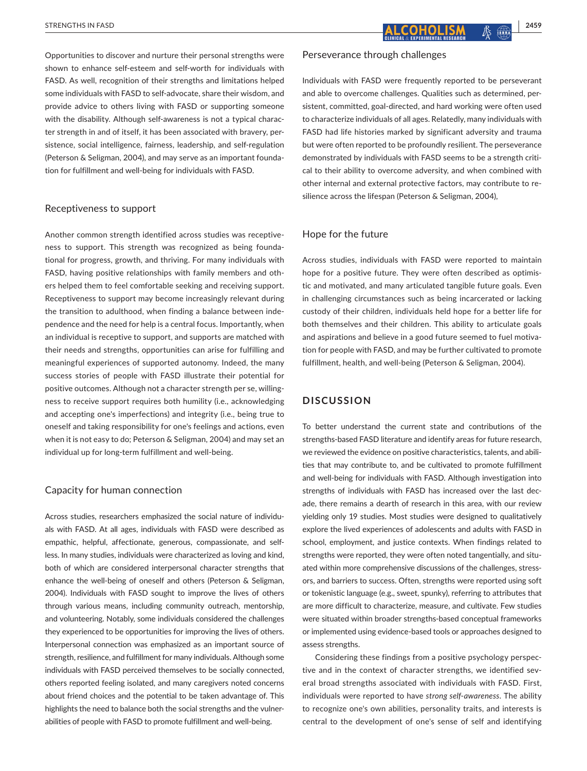Opportunities to discover and nurture their personal strengths were shown to enhance self-esteem and self-worth for individuals with FASD. As well, recognition of their strengths and limitations helped some individuals with FASD to self-advocate, share their wisdom, and provide advice to others living with FASD or supporting someone with the disability. Although self-awareness is not a typical character strength in and of itself, it has been associated with bravery, persistence, social intelligence, fairness, leadership, and self-regulation (Peterson & Seligman, 2004), and may serve as an important foundation for fulfillment and well-being for individuals with FASD.

#### Receptiveness to support

Another common strength identified across studies was receptiveness to support. This strength was recognized as being foundational for progress, growth, and thriving. For many individuals with FASD, having positive relationships with family members and others helped them to feel comfortable seeking and receiving support. Receptiveness to support may become increasingly relevant during the transition to adulthood, when finding a balance between independence and the need for help is a central focus. Importantly, when an individual is receptive to support, and supports are matched with their needs and strengths, opportunities can arise for fulfilling and meaningful experiences of supported autonomy. Indeed, the many success stories of people with FASD illustrate their potential for positive outcomes. Although not a character strength per se, willingness to receive support requires both humility (i.e., acknowledging and accepting one's imperfections) and integrity (i.e., being true to oneself and taking responsibility for one's feelings and actions, even when it is not easy to do; Peterson & Seligman, 2004) and may set an individual up for long-term fulfillment and well-being.

#### Capacity for human connection

Across studies, researchers emphasized the social nature of individuals with FASD. At all ages, individuals with FASD were described as empathic, helpful, affectionate, generous, compassionate, and selfless. In many studies, individuals were characterized as loving and kind, both of which are considered interpersonal character strengths that enhance the well-being of oneself and others (Peterson & Seligman, 2004). Individuals with FASD sought to improve the lives of others through various means, including community outreach, mentorship, and volunteering. Notably, some individuals considered the challenges they experienced to be opportunities for improving the lives of others. Interpersonal connection was emphasized as an important source of strength, resilience, and fulfillment for many individuals. Although some individuals with FASD perceived themselves to be socially connected, others reported feeling isolated, and many caregivers noted concerns about friend choices and the potential to be taken advantage of. This highlights the need to balance both the social strengths and the vulnerabilities of people with FASD to promote fulfillment and well-being.

## Perseverance through challenges

Individuals with FASD were frequently reported to be perseverant and able to overcome challenges. Qualities such as determined, persistent, committed, goal-directed, and hard working were often used to characterize individuals of all ages. Relatedly, many individuals with FASD had life histories marked by significant adversity and trauma but were often reported to be profoundly resilient. The perseverance demonstrated by individuals with FASD seems to be a strength critical to their ability to overcome adversity, and when combined with other internal and external protective factors, may contribute to resilience across the lifespan (Peterson & Seligman, 2004),

## Hope for the future

Across studies, individuals with FASD were reported to maintain hope for a positive future. They were often described as optimistic and motivated, and many articulated tangible future goals. Even in challenging circumstances such as being incarcerated or lacking custody of their children, individuals held hope for a better life for both themselves and their children. This ability to articulate goals and aspirations and believe in a good future seemed to fuel motivation for people with FASD, and may be further cultivated to promote fulfillment, health, and well-being (Peterson & Seligman, 2004).

## **DISCUSSION**

To better understand the current state and contributions of the strengths-based FASD literature and identify areas for future research, we reviewed the evidence on positive characteristics, talents, and abilities that may contribute to, and be cultivated to promote fulfillment and well-being for individuals with FASD. Although investigation into strengths of individuals with FASD has increased over the last decade, there remains a dearth of research in this area, with our review yielding only 19 studies. Most studies were designed to qualitatively explore the lived experiences of adolescents and adults with FASD in school, employment, and justice contexts. When findings related to strengths were reported, they were often noted tangentially, and situated within more comprehensive discussions of the challenges, stressors, and barriers to success. Often, strengths were reported using soft or tokenistic language (e.g., sweet, spunky), referring to attributes that are more difficult to characterize, measure, and cultivate. Few studies were situated within broader strengths-based conceptual frameworks or implemented using evidence-based tools or approaches designed to assess strengths.

Considering these findings from a positive psychology perspective and in the context of character strengths, we identified several broad strengths associated with individuals with FASD. First, individuals were reported to have *strong self*-*awareness*. The ability to recognize one's own abilities, personality traits, and interests is central to the development of one's sense of self and identifying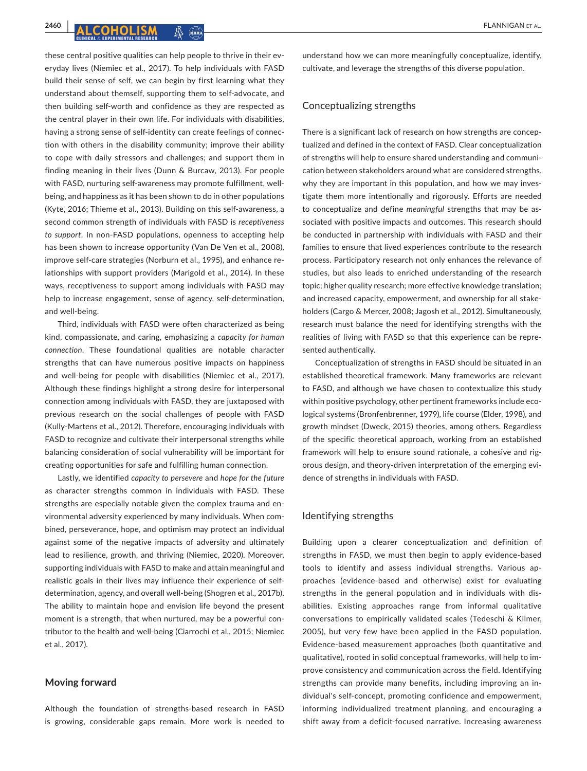these central positive qualities can help people to thrive in their everyday lives (Niemiec et al., 2017). To help individuals with FASD build their sense of self, we can begin by first learning what they understand about themself, supporting them to self-advocate, and then building self-worth and confidence as they are respected as the central player in their own life. For individuals with disabilities, having a strong sense of self-identity can create feelings of connection with others in the disability community; improve their ability to cope with daily stressors and challenges; and support them in finding meaning in their lives (Dunn & Burcaw, 2013). For people with FASD, nurturing self-awareness may promote fulfillment, wellbeing, and happiness as it has been shown to do in other populations (Kyte, 2016; Thieme et al., 2013). Building on this self-awareness, a second common strength of individuals with FASD is *receptiveness to support*. In non-FASD populations, openness to accepting help has been shown to increase opportunity (Van De Ven et al., 2008), improve self-care strategies (Norburn et al., 1995), and enhance relationships with support providers (Marigold et al., 2014). In these ways, receptiveness to support among individuals with FASD may help to increase engagement, sense of agency, self-determination, and well-being.

Third, individuals with FASD were often characterized as being kind, compassionate, and caring, emphasizing a *capacity for human connection*. These foundational qualities are notable character strengths that can have numerous positive impacts on happiness and well-being for people with disabilities (Niemiec et al., 2017). Although these findings highlight a strong desire for interpersonal connection among individuals with FASD, they are juxtaposed with previous research on the social challenges of people with FASD (Kully-Martens et al., 2012). Therefore, encouraging individuals with FASD to recognize and cultivate their interpersonal strengths while balancing consideration of social vulnerability will be important for creating opportunities for safe and fulfilling human connection.

Lastly, we identified *capacity to persevere* and *hope for the future* as character strengths common in individuals with FASD. These strengths are especially notable given the complex trauma and environmental adversity experienced by many individuals. When combined, perseverance, hope, and optimism may protect an individual against some of the negative impacts of adversity and ultimately lead to resilience, growth, and thriving (Niemiec, 2020). Moreover, supporting individuals with FASD to make and attain meaningful and realistic goals in their lives may influence their experience of selfdetermination, agency, and overall well-being (Shogren et al., 2017b). The ability to maintain hope and envision life beyond the present moment is a strength, that when nurtured, may be a powerful contributor to the health and well-being (Ciarrochi et al., 2015; Niemiec et al., 2017).

### **Moving forward**

Although the foundation of strengths-based research in FASD is growing, considerable gaps remain. More work is needed to understand how we can more meaningfully conceptualize, identify, cultivate, and leverage the strengths of this diverse population.

## Conceptualizing strengths

There is a significant lack of research on how strengths are conceptualized and defined in the context of FASD. Clear conceptualization of strengths will help to ensure shared understanding and communication between stakeholders around what are considered strengths, why they are important in this population, and how we may investigate them more intentionally and rigorously. Efforts are needed to conceptualize and define *meaningful* strengths that may be associated with positive impacts and outcomes. This research should be conducted in partnership with individuals with FASD and their families to ensure that lived experiences contribute to the research process. Participatory research not only enhances the relevance of studies, but also leads to enriched understanding of the research topic; higher quality research; more effective knowledge translation; and increased capacity, empowerment, and ownership for all stakeholders (Cargo & Mercer, 2008; Jagosh et al., 2012). Simultaneously, research must balance the need for identifying strengths with the realities of living with FASD so that this experience can be represented authentically.

Conceptualization of strengths in FASD should be situated in an established theoretical framework. Many frameworks are relevant to FASD, and although we have chosen to contextualize this study within positive psychology, other pertinent frameworks include ecological systems (Bronfenbrenner, 1979), life course (Elder, 1998), and growth mindset (Dweck, 2015) theories, among others. Regardless of the specific theoretical approach, working from an established framework will help to ensure sound rationale, a cohesive and rigorous design, and theory-driven interpretation of the emerging evidence of strengths in individuals with FASD.

#### Identifying strengths

Building upon a clearer conceptualization and definition of strengths in FASD, we must then begin to apply evidence-based tools to identify and assess individual strengths. Various approaches (evidence-based and otherwise) exist for evaluating strengths in the general population and in individuals with disabilities. Existing approaches range from informal qualitative conversations to empirically validated scales (Tedeschi & Kilmer, 2005), but very few have been applied in the FASD population. Evidence-based measurement approaches (both quantitative and qualitative), rooted in solid conceptual frameworks, will help to improve consistency and communication across the field. Identifying strengths can provide many benefits, including improving an individual's self-concept, promoting confidence and empowerment, informing individualized treatment planning, and encouraging a shift away from a deficit-focused narrative. Increasing awareness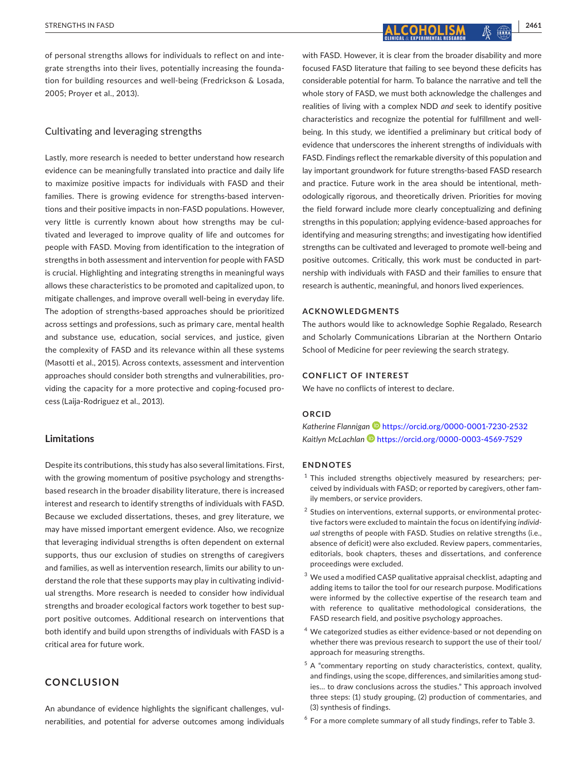of personal strengths allows for individuals to reflect on and integrate strengths into their lives, potentially increasing the foundation for building resources and well-being (Fredrickson & Losada, 2005; Proyer et al., 2013).

## Cultivating and leveraging strengths

Lastly, more research is needed to better understand how research evidence can be meaningfully translated into practice and daily life to maximize positive impacts for individuals with FASD and their families. There is growing evidence for strengths-based interventions and their positive impacts in non-FASD populations. However, very little is currently known about how strengths may be cultivated and leveraged to improve quality of life and outcomes for people with FASD. Moving from identification to the integration of strengths in both assessment and intervention for people with FASD is crucial. Highlighting and integrating strengths in meaningful ways allows these characteristics to be promoted and capitalized upon, to mitigate challenges, and improve overall well-being in everyday life. The adoption of strengths-based approaches should be prioritized across settings and professions, such as primary care, mental health and substance use, education, social services, and justice, given the complexity of FASD and its relevance within all these systems (Masotti et al., 2015). Across contexts, assessment and intervention approaches should consider both strengths and vulnerabilities, providing the capacity for a more protective and coping-focused process (Laija-Rodriguez et al., 2013).

## **Limitations**

Despite its contributions, this study has also several limitations. First, with the growing momentum of positive psychology and strengthsbased research in the broader disability literature, there is increased interest and research to identify strengths of individuals with FASD. Because we excluded dissertations, theses, and grey literature, we may have missed important emergent evidence. Also, we recognize that leveraging individual strengths is often dependent on external supports, thus our exclusion of studies on strengths of caregivers and families, as well as intervention research, limits our ability to understand the role that these supports may play in cultivating individual strengths. More research is needed to consider how individual strengths and broader ecological factors work together to best support positive outcomes. Additional research on interventions that both identify and build upon strengths of individuals with FASD is a critical area for future work.

## **CONCLUSION**

An abundance of evidence highlights the significant challenges, vulnerabilities, and potential for adverse outcomes among individuals with FASD. However, it is clear from the broader disability and more focused FASD literature that failing to see beyond these deficits has considerable potential for harm. To balance the narrative and tell the whole story of FASD, we must both acknowledge the challenges and realities of living with a complex NDD *and* seek to identify positive characteristics and recognize the potential for fulfillment and wellbeing. In this study, we identified a preliminary but critical body of evidence that underscores the inherent strengths of individuals with FASD. Findings reflect the remarkable diversity of this population and lay important groundwork for future strengths-based FASD research and practice. Future work in the area should be intentional, methodologically rigorous, and theoretically driven. Priorities for moving the field forward include more clearly conceptualizing and defining strengths in this population; applying evidence-based approaches for identifying and measuring strengths; and investigating how identified strengths can be cultivated and leveraged to promote well-being and positive outcomes. Critically, this work must be conducted in partnership with individuals with FASD and their families to ensure that research is authentic, meaningful, and honors lived experiences.

#### **ACKNOWLEDGMENTS**

The authors would like to acknowledge Sophie Regalado, Research and Scholarly Communications Librarian at the Northern Ontario School of Medicine for peer reviewing the search strategy.

## **CONFLICT OF INTEREST**

We have no conflicts of interest to declare.

#### **ORCID**

*Katherine Flanniga[n](https://orcid.org/0000-0001-7230-2532)* <https://orcid.org/0000-0001-7230-2532> *Kaitlyn McLachlan* <https://orcid.org/0000-0003-4569-7529>

#### **ENDNOTES**

- $1$  This included strengths objectively measured by researchers; perceived by individuals with FASD; or reported by caregivers, other family members, or service providers.
- <sup>2</sup> Studies on interventions, external supports, or environmental protective factors were excluded to maintain the focus on identifying *individual* strengths of people with FASD. Studies on relative strengths (i.e., absence of deficit) were also excluded. Review papers, commentaries, editorials, book chapters, theses and dissertations, and conference proceedings were excluded.
- <sup>3</sup> We used a modified CASP qualitative appraisal checklist, adapting and adding items to tailor the tool for our research purpose. Modifications were informed by the collective expertise of the research team and with reference to qualitative methodological considerations, the FASD research field, and positive psychology approaches.
- <sup>4</sup> We categorized studies as either evidence-based or not depending on whether there was previous research to support the use of their tool/ approach for measuring strengths.
- $5$  A "commentary reporting on study characteristics, context, quality, and findings, using the scope, differences, and similarities among studies… to draw conclusions across the studies." This approach involved three steps: (1) study grouping, (2) production of commentaries, and (3) synthesis of findings.
- $^6$  For a more complete summary of all study findings, refer to Table 3.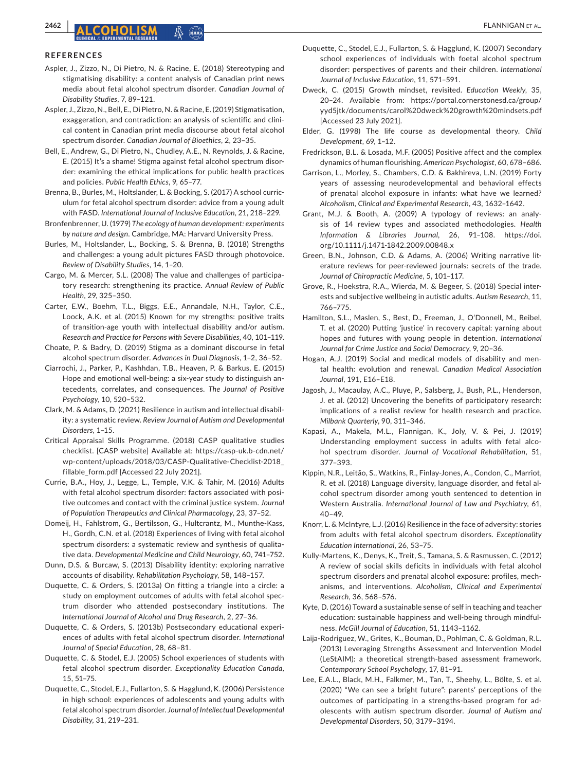#### **REFERENCES**

- Aspler, J., Zizzo, N., Di Pietro, N. & Racine, E. (2018) Stereotyping and stigmatising disability: a content analysis of Canadian print news media about fetal alcohol spectrum disorder. *Canadian Journal of Disability Studies*, 7, 89–121.
- Aspler, J., Zizzo, N., Bell, E., Di Pietro, N. & Racine, E. (2019) Stigmatisation, exaggeration, and contradiction: an analysis of scientific and clinical content in Canadian print media discourse about fetal alcohol spectrum disorder. *Canadian Journal of Bioethics*, 2, 23–35.
- Bell, E., Andrew, G., Di Pietro, N., Chudley, A.E., N. Reynolds, J. & Racine, E. (2015) It's a shame! Stigma against fetal alcohol spectrum disorder: examining the ethical implications for public health practices and policies. *Public Health Ethics*, 9, 65–77.
- Brenna, B., Burles, M., Holtslander, L. & Bocking, S. (2017) A school curriculum for fetal alcohol spectrum disorder: advice from a young adult with FASD. *International Journal of Inclusive Education*, 21, 218–229.
- Bronfenbrenner, U. (1979) *The ecology of human development: experiments by nature and design*. Cambridge, MA: Harvard University Press.
- Burles, M., Holtslander, L., Bocking, S. & Brenna, B. (2018) Strengths and challenges: a young adult pictures FASD through photovoice. *Review of Disability Studies*, 14, 1–20.
- Cargo, M. & Mercer, S.L. (2008) The value and challenges of participatory research: strengthening its practice. *Annual Review of Public Health*, 29, 325–350.
- Carter, E.W., Boehm, T.L., Biggs, E.E., Annandale, N.H., Taylor, C.E., Loock, A.K. et al. (2015) Known for my strengths: positive traits of transition-age youth with intellectual disability and/or autism. *Research and Practice for Persons with Severe Disabilities*, 40, 101–119.
- Choate, P. & Badry, D. (2019) Stigma as a dominant discourse in fetal alcohol spectrum disorder. *Advances in Dual Diagnosis*, 1–2, 36–52.
- Ciarrochi, J., Parker, P., Kashhdan, T.B., Heaven, P. & Barkus, E. (2015) Hope and emotional well-being: a six-year study to distinguish antecedents, correlates, and consequences. *The Journal of Positive Psychology*, 10, 520–532.
- Clark, M. & Adams, D. (2021) Resilience in autism and intellectual disability: a systematic review. *Review Journal of Autism and Developmental Disorders*, 1–15.
- Critical Appraisal Skills Programme. (2018) CASP qualitative studies checklist. [CASP website] Available at: [https://casp-uk.b-cdn.net/](https://casp-uk.b-cdn.net/wp-content/uploads/2018/03/CASP-Qualitative-Checklist-2018_fillable_form.pdf) [wp-content/uploads/2018/03/CASP-Qualitative-Checklist-2018\\_](https://casp-uk.b-cdn.net/wp-content/uploads/2018/03/CASP-Qualitative-Checklist-2018_fillable_form.pdf) [fillable\\_form.pdf](https://casp-uk.b-cdn.net/wp-content/uploads/2018/03/CASP-Qualitative-Checklist-2018_fillable_form.pdf) [Accessed 22 July 2021].
- Currie, B.A., Hoy, J., Legge, L., Temple, V.K. & Tahir, M. (2016) Adults with fetal alcohol spectrum disorder: factors associated with positive outcomes and contact with the criminal justice system. *Journal of Population Therapeutics and Clinical Pharmacology*, 23, 37–52.
- Domeij, H., Fahlstrom, G., Bertilsson, G., Hultcrantz, M., Munthe-Kass, H., Gordh, C.N. et al. (2018) Experiences of living with fetal alcohol spectrum disorders: a systematic review and synthesis of qualitative data. *Developmental Medicine and Child Neurology*, 60, 741–752.
- Dunn, D.S. & Burcaw, S. (2013) Disability identity: exploring narrative accounts of disability. *Rehabilitation Psychology*, 58, 148–157.
- Duquette, C. & Orders, S. (2013a) On fitting a triangle into a circle: a study on employment outcomes of adults with fetal alcohol spectrum disorder who attended postsecondary institutions. *The International Journal of Alcohol and Drug Research*, 2, 27–36.
- Duquette, C. & Orders, S. (2013b) Postsecondary educational experiences of adults with fetal alcohol spectrum disorder. *International Journal of Special Education*, 28, 68–81.
- Duquette, C. & Stodel, E.J. (2005) School experiences of students with fetal alcohol spectrum disorder. *Exceptionality Education Canada*, 15, 51–75.
- Duquette, C., Stodel, E.J., Fullarton, S. & Hagglund, K. (2006) Persistence in high school: experiences of adolescents and young adults with fetal alcohol spectrum disorder. *Journal of Intellectual Developmental Disability*, 31, 219–231.
- Duquette, C., Stodel, E.J., Fullarton, S. & Hagglund, K. (2007) Secondary school experiences of individuals with foetal alcohol spectrum disorder: perspectives of parents and their children. *International Journal of Inclusive Education*, 11, 571–591.
- Dweck, C. (2015) Growth mindset, revisited. *Education Weekly*, 35, 20–24. Available from: [https://portal.cornerstonesd.ca/group/](https://portal.cornerstonesd.ca/group/yyd5jtk/documents/carol dweck growth mindsets.pdf) [yyd5jtk/documents/carol%20dweck%20growth%20mindsets.pdf](https://portal.cornerstonesd.ca/group/yyd5jtk/documents/carol dweck growth mindsets.pdf)  [Accessed 23 July 2021].
- Elder, G. (1998) The life course as developmental theory. *Child Development*, 69, 1–12.
- Fredrickson, B.L. & Losada, M.F. (2005) Positive affect and the complex dynamics of human flourishing. *American Psychologist*, 60, 678–686.
- Garrison, L., Morley, S., Chambers, C.D. & Bakhireva, L.N. (2019) Forty years of assessing neurodevelopmental and behavioral effects of prenatal alcohol exposure in infants: what have we learned? *Alcoholism, Clinical and Experimental Research*, 43, 1632–1642.
- Grant, M.J. & Booth, A. (2009) A typology of reviews: an analysis of 14 review types and associated methodologies. *Health Information & Libraries Journal*, 26, 91–108. [https://doi.](https://doi.org/10.1111/j.1471-1842.2009.00848.x) [org/10.1111/j.1471-1842.2009.00848.x](https://doi.org/10.1111/j.1471-1842.2009.00848.x)
- Green, B.N., Johnson, C.D. & Adams, A. (2006) Writing narrative literature reviews for peer-reviewed journals: secrets of the trade. *Journal of Chiropractic Medicine*, 5, 101–117.
- Grove, R., Hoekstra, R.A., Wierda, M. & Begeer, S. (2018) Special interests and subjective wellbeing in autistic adults. *Autism Research*, 11, 766–775.
- Hamilton, S.L., Maslen, S., Best, D., Freeman, J., O'Donnell, M., Reibel, T. et al. (2020) Putting 'justice' in recovery capital: yarning about hopes and futures with young people in detention. *International Journal for Crime Justice and Social Democracy*, 9, 20–36.
- Hogan, A.J. (2019) Social and medical models of disability and mental health: evolution and renewal. *Canadian Medical Association Journal*, 191, E16–E18.
- Jagosh, J., Macaulay, A.C., Pluye, P., Salsberg, J., Bush, P.L., Henderson, J. et al. (2012) Uncovering the benefits of participatory research: implications of a realist review for health research and practice. *Milbank Quarterly*, 90, 311–346.
- Kapasi, A., Makela, M.L., Flannigan, K., Joly, V. & Pei, J. (2019) Understanding employment success in adults with fetal alcohol spectrum disorder. *Journal of Vocational Rehabilitation*, 51, 377–393.
- Kippin, N.R., Leitão, S., Watkins, R., Finlay-Jones, A., Condon, C., Marriot, R. et al. (2018) Language diversity, language disorder, and fetal alcohol spectrum disorder among youth sentenced to detention in Western Australia. *International Journal of Law and Psychiatry*, 61, 40–49.
- Knorr, L. & McIntyre, L.J. (2016) Resilience in the face of adversity: stories from adults with fetal alcohol spectrum disorders. *Exceptionality Education International*, 26, 53–75.
- Kully-Martens, K., Denys, K., Treit, S., Tamana, S. & Rasmussen, C. (2012) A review of social skills deficits in individuals with fetal alcohol spectrum disorders and prenatal alcohol exposure: profiles, mechanisms, and interventions. *Alcoholism, Clinical and Experimental Research*, 36, 568–576.
- Kyte, D. (2016) Toward a sustainable sense of self in teaching and teacher education: sustainable happiness and well-being through mindfulness. *McGill Journal of Education*, 51, 1143–1162.
- Laija-Rodriguez, W., Grites, K., Bouman, D., Pohlman, C. & Goldman, R.L. (2013) Leveraging Strengths Assessment and Intervention Model (LeStAIM): a theoretical strength-based assessment framework. *Contemporary School Psychology*, 17, 81–91.
- Lee, E.A.L., Black, M.H., Falkmer, M., Tan, T., Sheehy, L., Bölte, S. et al. (2020) "We can see a bright future": parents' perceptions of the outcomes of participating in a strengths-based program for adolescents with autism spectrum disorder. *Journal of Autism and Developmental Disorders*, 50, 3179–3194.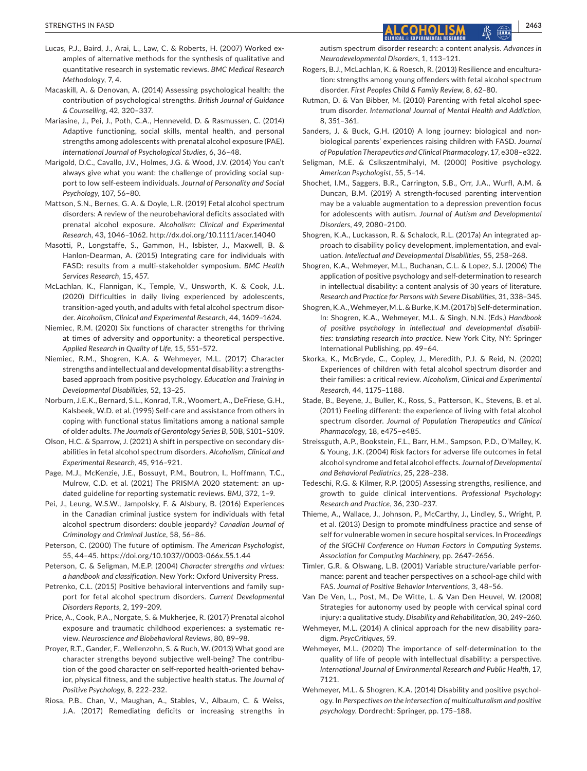- Lucas, P.J., Baird, J., Arai, L., Law, C. & Roberts, H. (2007) Worked examples of alternative methods for the synthesis of qualitative and quantitative research in systematic reviews. *BMC Medical Research Methodology*, 7, 4.
- Macaskill, A. & Denovan, A. (2014) Assessing psychological health: the contribution of psychological strengths. *British Journal of Guidance & Counselling*, 42, 320–337.
- Mariasine, J., Pei, J., Poth, C.A., Henneveld, D. & Rasmussen, C. (2014) Adaptive functioning, social skills, mental health, and personal strengths among adolescents with prenatal alcohol exposure (PAE). *International Journal of Psychological Studies*, 6, 36–48.
- Marigold, D.C., Cavallo, J.V., Holmes, J.G. & Wood, J.V. (2014) You can't always give what you want: the challenge of providing social support to low self-esteem individuals. *Journal of Personality and Social Psychology*, 107, 56–80.
- Mattson, S.N., Bernes, G. A. & Doyle, L.R. (2019) Fetal alcohol spectrum disorders: A review of the neurobehavioral deficits associated with prenatal alcohol exposure. *Alcoholism: Clinical and Experimental Research*, 43, 1046–1062. <http://dx.doi.org/10.1111/acer.14040>
- Masotti, P., Longstaffe, S., Gammon, H., Isbister, J., Maxwell, B. & Hanlon-Dearman, A. (2015) Integrating care for individuals with FASD: results from a multi-stakeholder symposium. *BMC Health Services Research*, 15, 457.
- McLachlan, K., Flannigan, K., Temple, V., Unsworth, K. & Cook, J.L. (2020) Difficulties in daily living experienced by adolescents, transition-aged youth, and adults with fetal alcohol spectrum disorder. *Alcoholism, Clinical and Experimental Research*, 44, 1609–1624.
- Niemiec, R.M. (2020) Six functions of character strengths for thriving at times of adversity and opportunity: a theoretical perspective. *Applied Research in Quality of Life*, 15, 551–572.
- Niemiec, R.M., Shogren, K.A. & Wehmeyer, M.L. (2017) Character strengths and intellectual and developmental disability: a strengthsbased approach from positive psychology. *Education and Training in Developmental Disabilities*, 52, 13–25.
- Norburn, J.E.K., Bernard, S.L., Konrad, T.R., Woomert, A., DeFriese, G.H., Kalsbeek, W.D. et al. (1995) Self-care and assistance from others in coping with functional status limitations among a national sample of older adults. *The Journals of Gerontology Series B*, 50B, S101–S109.
- Olson, H.C. & Sparrow, J. (2021) A shift in perspective on secondary disabilities in fetal alcohol spectrum disorders. *Alcoholism, Clinical and Experimental Research*, 45, 916–921.
- Page, M.J., McKenzie, J.E., Bossuyt, P.M., Boutron, I., Hoffmann, T.C., Mulrow, C.D. et al. (2021) The PRISMA 2020 statement: an updated guideline for reporting systematic reviews. *BMJ*, 372, 1–9.
- Pei, J., Leung, W.S.W., Jampolsky, F. & Alsbury, B. (2016) Experiences in the Canadian criminal justice system for individuals with fetal alcohol spectrum disorders: double jeopardy? *Canadian Journal of Criminology and Criminal Justice*, 58, 56–86.
- Peterson, C. (2000) The future of optimism. *The American Psychologist*, 55, 44–45. <https://doi.org/10.1037//0003-066x.55.1.44>
- Peterson, C. & Seligman, M.E.P. (2004) *Character strengths and virtues: a handbook and classification*. New York: Oxford University Press.
- Petrenko, C.L. (2015) Positive behavioral interventions and family support for fetal alcohol spectrum disorders. *Current Developmental Disorders Reports*, 2, 199–209.
- Price, A., Cook, P.A., Norgate, S. & Mukherjee, R. (2017) Prenatal alcohol exposure and traumatic childhood experiences: a systematic review. *Neuroscience and Biobehavioral Reviews*, 80, 89–98.
- Proyer, R.T., Gander, F., Wellenzohn, S. & Ruch, W. (2013) What good are character strengths beyond subjective well-being? The contribution of the good character on self-reported health-oriented behavior, physical fitness, and the subjective health status. *The Journal of Positive Psychology*, 8, 222–232.
- Riosa, P.B., Chan, V., Maughan, A., Stables, V., Albaum, C. & Weiss, J.A. (2017) Remediating deficits or increasing strengths in

autism spectrum disorder research: a content analysis. *Advances in Neurodevelopmental Disorders*, 1, 113–121.

- Rogers, B.J., McLachlan, K. & Roesch, R. (2013) Resilience and enculturation: strengths among young offenders with fetal alcohol spectrum disorder. *First Peoples Child & Family Review*, 8, 62–80.
- Rutman, D. & Van Bibber, M. (2010) Parenting with fetal alcohol spectrum disorder. *International Journal of Mental Health and Addiction*, 8, 351–361.
- Sanders, J. & Buck, G.H. (2010) A long journey: biological and nonbiological parents' experiences raising children with FASD. *Journal of Population Therapeutics and Clinical Pharmacology*, 17, e308–e322.
- Seligman, M.E. & Csikszentmihalyi, M. (2000) Positive psychology. *American Psychologist*, 55, 5–14.
- Shochet, I.M., Saggers, B.R., Carrington, S.B., Orr, J.A., Wurfl, A.M. & Duncan, B.M. (2019) A strength-focused parenting intervention may be a valuable augmentation to a depression prevention focus for adolescents with autism. *Journal of Autism and Developmental Disorders*, 49, 2080–2100.
- Shogren, K.A., Luckasson, R. & Schalock, R.L. (2017a) An integrated approach to disability policy development, implementation, and evaluation. *Intellectual and Developmental Disabilities*, 55, 258–268.
- Shogren, K.A., Wehmeyer, M.L., Buchanan, C.L. & Lopez, S.J. (2006) The application of positive psychology and self-determination to research in intellectual disability: a content analysis of 30 years of literature. *Research and Practice for Persons with Severe Disabilities*, 31, 338–345.
- Shogren, K.A., Wehmeyer, M.L. & Burke, K.M. (2017b) Self-determination. In: Shogren, K.A., Wehmeyer, M.L. & Singh, N.N. (Eds.) *Handbook of positive psychology in intellectual and developmental disabilities: translating research into practice*. New York City, NY: Springer International Publishing, pp. 49–64.
- Skorka, K., McBryde, C., Copley, J., Meredith, P.J. & Reid, N. (2020) Experiences of children with fetal alcohol spectrum disorder and their families: a critical review. *Alcoholism, Clinical and Experimental Research*, 44, 1175–1188.
- Stade, B., Beyene, J., Buller, K., Ross, S., Patterson, K., Stevens, B. et al. (2011) Feeling different: the experience of living with fetal alcohol spectrum disorder. *Journal of Population Therapeutics and Clinical Pharmacology*, 18, e475–e485.
- Streissguth, A.P., Bookstein, F.L., Barr, H.M., Sampson, P.D., O'Malley, K. & Young, J.K. (2004) Risk factors for adverse life outcomes in fetal alcohol syndrome and fetal alcohol effects. *Journal of Developmental and Behavioral Pediatrics*, 25, 228–238.
- Tedeschi, R.G. & Kilmer, R.P. (2005) Assessing strengths, resilience, and growth to guide clinical interventions. *Professional Psychology: Research and Practice*, 36, 230–237.
- Thieme, A., Wallace, J., Johnson, P., McCarthy, J., Lindley, S., Wright, P. et al. (2013) Design to promote mindfulness practice and sense of self for vulnerable women in secure hospital services. In *Proceedings of the SIGCHI Conference on Human Factors in Computing Systems. Association for Computing Machinery*, pp. 2647–2656.
- Timler, G.R. & Olswang, L.B. (2001) Variable structure/variable performance: parent and teacher perspectives on a school-age child with FAS. *Journal of Positive Behavior Interventions*, 3, 48–56.
- Van De Ven, L., Post, M., De Witte, L. & Van Den Heuvel, W. (2008) Strategies for autonomy used by people with cervical spinal cord injury: a qualitative study. *Disability and Rehabilitation*, 30, 249–260.
- Wehmeyer, M.L. (2014) A clinical approach for the new disability paradigm. *PsycCritiques*, 59.
- Wehmeyer, M.L. (2020) The importance of self-determination to the quality of life of people with intellectual disability: a perspective. *International Journal of Environmental Research and Public Health*, 17, 7121.
- Wehmeyer, M.L. & Shogren, K.A. (2014) Disability and positive psychology. In *Perspectives on the intersection of multiculturalism and positive psychology*. Dordrecht: Springer, pp. 175–188.